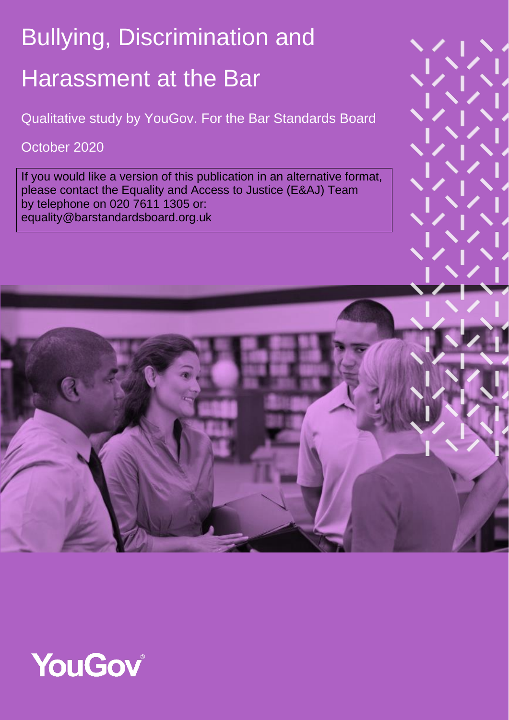# Bullying, Discrimination and Harassment at the Bar

Qualitative study by YouGov. For the Bar Standards Board

### October 2020

If you would like a version of this publication in an alternative format, please contact the Equality and Access to Justice (E&AJ) Team by telephone on 020 7611 1305 or: equality@barstandardsboard.org.uk

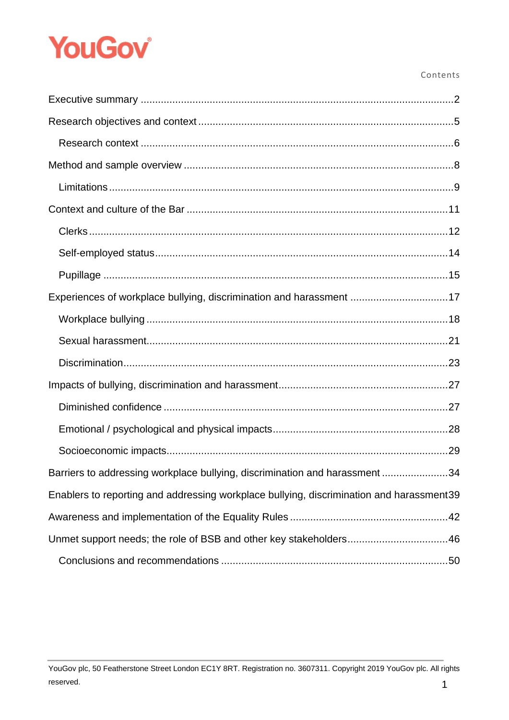#### Contents

| Experiences of workplace bullying, discrimination and harassment 17                      |
|------------------------------------------------------------------------------------------|
|                                                                                          |
|                                                                                          |
|                                                                                          |
|                                                                                          |
|                                                                                          |
|                                                                                          |
|                                                                                          |
| Barriers to addressing workplace bullying, discrimination and harassment 34              |
| Enablers to reporting and addressing workplace bullying, discrimination and harassment39 |
|                                                                                          |
|                                                                                          |
|                                                                                          |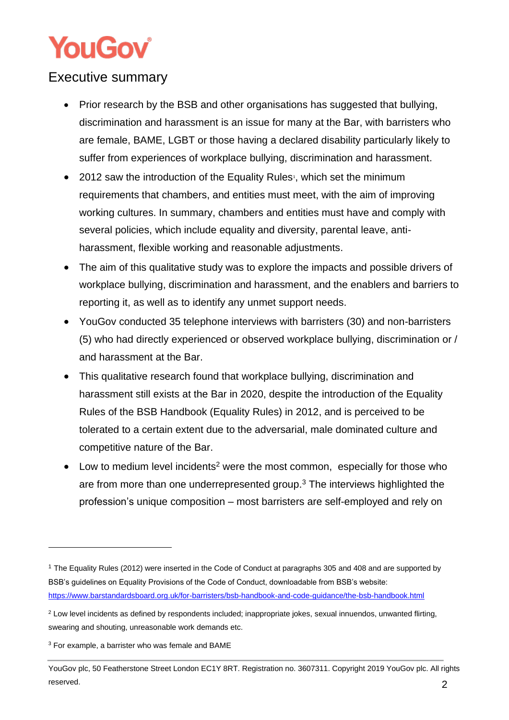### <span id="page-2-0"></span>Executive summary

- Prior research by the BSB and other organisations has suggested that bullying, discrimination and harassment is an issue for many at the Bar, with barristers who are female, BAME, LGBT or those having a declared disability particularly likely to suffer from experiences of workplace bullying, discrimination and harassment.
- 2012 saw the introduction of the Equality Rules<sup>1</sup>, which set the minimum requirements that chambers, and entities must meet, with the aim of improving working cultures. In summary, chambers and entities must have and comply with several policies, which include equality and diversity, parental leave, antiharassment, flexible working and reasonable adjustments.
- The aim of this qualitative study was to explore the impacts and possible drivers of workplace bullying, discrimination and harassment, and the enablers and barriers to reporting it, as well as to identify any unmet support needs.
- YouGov conducted 35 telephone interviews with barristers (30) and non-barristers (5) who had directly experienced or observed workplace bullying, discrimination or / and harassment at the Bar.
- This qualitative research found that workplace bullying, discrimination and harassment still exists at the Bar in 2020, despite the introduction of the Equality Rules of the BSB Handbook (Equality Rules) in 2012, and is perceived to be tolerated to a certain extent due to the adversarial, male dominated culture and competitive nature of the Bar.
- Low to medium level incidents<sup>2</sup> were the most common, especially for those who are from more than one underrepresented group. $3$  The interviews highlighted the profession's unique composition – most barristers are self-employed and rely on

<sup>1</sup> The Equality Rules (2012) were inserted in the Code of Conduct at paragraphs 305 and 408 and are supported by BSB's guidelines on Equality Provisions of the Code of Conduct, downloadable from BSB's website: <https://www.barstandardsboard.org.uk/for-barristers/bsb-handbook-and-code-guidance/the-bsb-handbook.html>

<sup>&</sup>lt;sup>2</sup> Low level incidents as defined by respondents included; inappropriate jokes, sexual innuendos, unwanted flirting, swearing and shouting, unreasonable work demands etc.

<sup>3</sup> For example, a barrister who was female and BAME

YouGov plc, 50 Featherstone Street London EC1Y 8RT. Registration no. 3607311. Copyright 2019 YouGov plc. All rights reserved. 2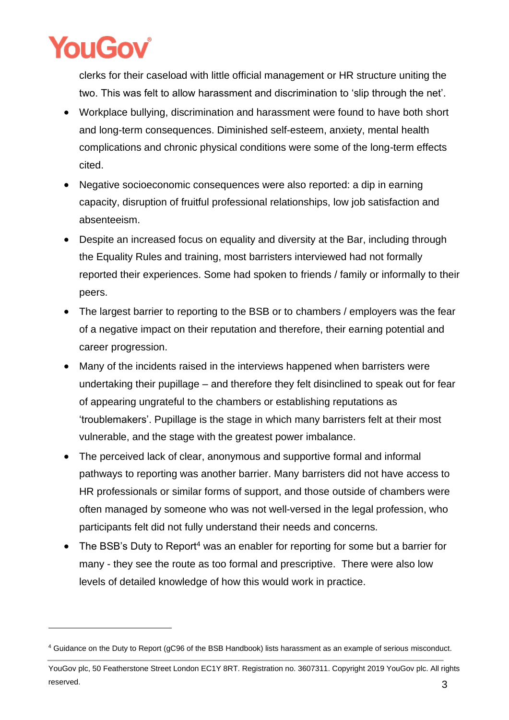

clerks for their caseload with little official management or HR structure uniting the two. This was felt to allow harassment and discrimination to 'slip through the net'.

- Workplace bullying, discrimination and harassment were found to have both short and long-term consequences. Diminished self-esteem, anxiety, mental health complications and chronic physical conditions were some of the long-term effects cited.
- Negative socioeconomic consequences were also reported: a dip in earning capacity, disruption of fruitful professional relationships, low job satisfaction and absenteeism.
- Despite an increased focus on equality and diversity at the Bar, including through the Equality Rules and training, most barristers interviewed had not formally reported their experiences. Some had spoken to friends / family or informally to their peers.
- The largest barrier to reporting to the BSB or to chambers / employers was the fear of a negative impact on their reputation and therefore, their earning potential and career progression.
- Many of the incidents raised in the interviews happened when barristers were undertaking their pupillage – and therefore they felt disinclined to speak out for fear of appearing ungrateful to the chambers or establishing reputations as 'troublemakers'. Pupillage is the stage in which many barristers felt at their most vulnerable, and the stage with the greatest power imbalance.
- The perceived lack of clear, anonymous and supportive formal and informal pathways to reporting was another barrier. Many barristers did not have access to HR professionals or similar forms of support, and those outside of chambers were often managed by someone who was not well-versed in the legal profession, who participants felt did not fully understand their needs and concerns.
- The BSB's Duty to Report<sup>4</sup> was an enabler for reporting for some but a barrier for many - they see the route as too formal and prescriptive. There were also low levels of detailed knowledge of how this would work in practice.

<sup>4</sup> Guidance on the Duty to Report (gC96 of the BSB Handbook) lists harassment as an example of serious misconduct.

YouGov plc, 50 Featherstone Street London EC1Y 8RT. Registration no. 3607311. Copyright 2019 YouGov plc. All rights reserved.  $3$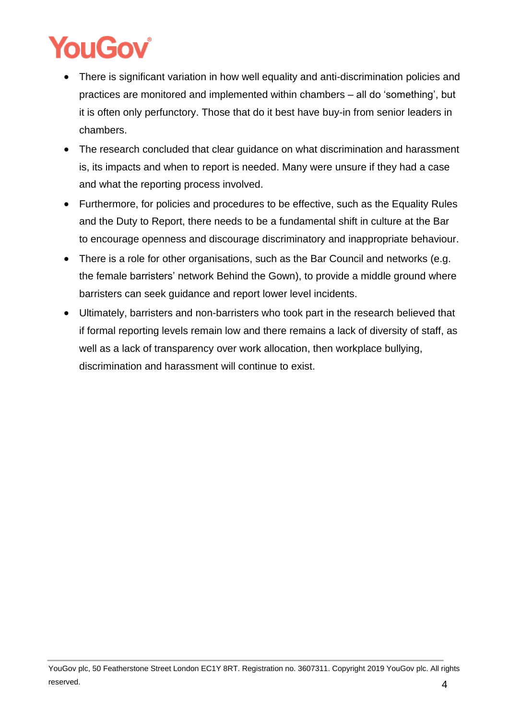- There is significant variation in how well equality and anti-discrimination policies and practices are monitored and implemented within chambers – all do 'something', but it is often only perfunctory. Those that do it best have buy-in from senior leaders in chambers.
- The research concluded that clear guidance on what discrimination and harassment is, its impacts and when to report is needed. Many were unsure if they had a case and what the reporting process involved.
- Furthermore, for policies and procedures to be effective, such as the Equality Rules and the Duty to Report, there needs to be a fundamental shift in culture at the Bar to encourage openness and discourage discriminatory and inappropriate behaviour.
- There is a role for other organisations, such as the Bar Council and networks (e.g. the female barristers' network Behind the Gown), to provide a middle ground where barristers can seek guidance and report lower level incidents.
- Ultimately, barristers and non-barristers who took part in the research believed that if formal reporting levels remain low and there remains a lack of diversity of staff, as well as a lack of transparency over work allocation, then workplace bullying, discrimination and harassment will continue to exist.

YouGov plc, 50 Featherstone Street London EC1Y 8RT. Registration no. 3607311. Copyright 2019 YouGov plc. All rights reserved.  $4$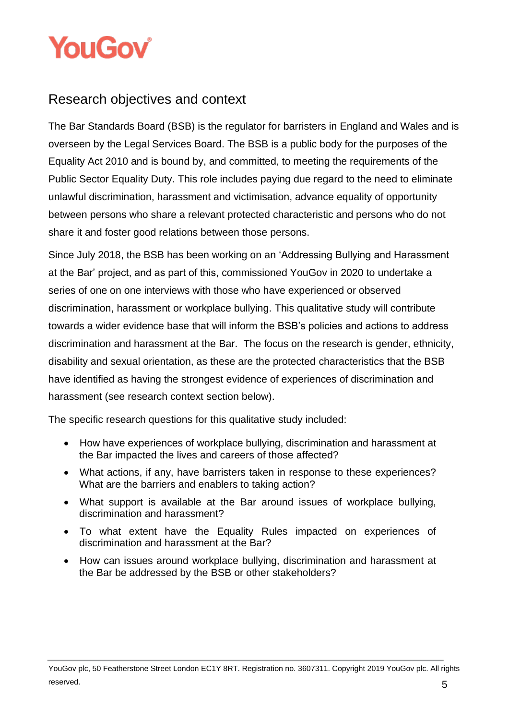

### <span id="page-5-0"></span>Research objectives and context

The Bar Standards Board (BSB) is the regulator for barristers in England and Wales and is overseen by the Legal Services Board. The BSB is a public body for the purposes of the Equality Act 2010 and is bound by, and committed, to meeting the requirements of the Public Sector Equality Duty. This role includes paying due regard to the need to eliminate unlawful discrimination, harassment and victimisation, advance equality of opportunity between persons who share a relevant protected characteristic and persons who do not share it and foster good relations between those persons.

Since July 2018, the BSB has been working on an 'Addressing Bullying and Harassment at the Bar' project, and as part of this, commissioned YouGov in 2020 to undertake a series of one on one interviews with those who have experienced or observed discrimination, harassment or workplace bullying. This qualitative study will contribute towards a wider evidence base that will inform the BSB's policies and actions to address discrimination and harassment at the Bar. The focus on the research is gender, ethnicity, disability and sexual orientation, as these are the protected characteristics that the BSB have identified as having the strongest evidence of experiences of discrimination and harassment (see research context section below).

The specific research questions for this qualitative study included:

- How have experiences of workplace bullying, discrimination and harassment at the Bar impacted the lives and careers of those affected?
- What actions, if any, have barristers taken in response to these experiences? What are the barriers and enablers to taking action?
- What support is available at the Bar around issues of workplace bullying, discrimination and harassment?
- To what extent have the Equality Rules impacted on experiences of discrimination and harassment at the Bar?
- How can issues around workplace bullying, discrimination and harassment at the Bar be addressed by the BSB or other stakeholders?

YouGov plc, 50 Featherstone Street London EC1Y 8RT. Registration no. 3607311. Copyright 2019 YouGov plc. All rights reserved.  $5$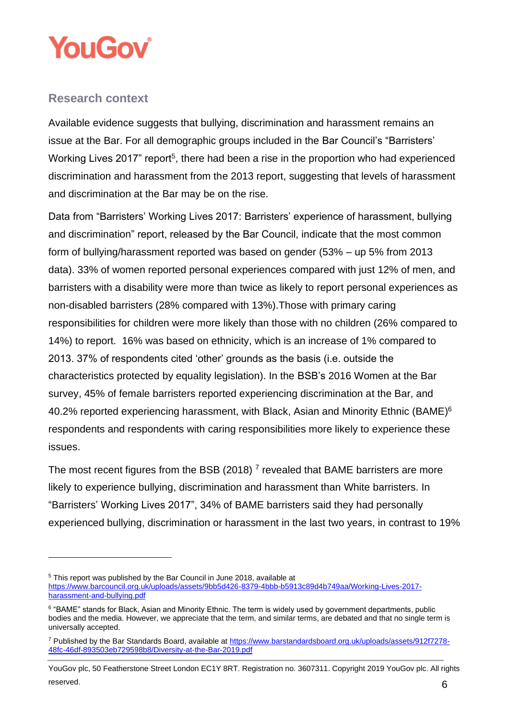

#### <span id="page-6-0"></span>**Research context**

Available evidence suggests that bullying, discrimination and harassment remains an issue at the Bar. For all demographic groups included in the Bar Council's "Barristers' Working Lives 2017" report<sup>5</sup>, there had been a rise in the proportion who had experienced discrimination and harassment from the 2013 report, suggesting that levels of harassment and discrimination at the Bar may be on the rise.

Data from "Barristers' Working Lives 2017: Barristers' experience of harassment, bullying and discrimination" report, released by the Bar Council, indicate that the most common form of bullying/harassment reported was based on gender (53% – up 5% from 2013 data). 33% of women reported personal experiences compared with just 12% of men, and barristers with a disability were more than twice as likely to report personal experiences as non-disabled barristers (28% compared with 13%).Those with primary caring responsibilities for children were more likely than those with no children (26% compared to 14%) to report. 16% was based on ethnicity, which is an increase of 1% compared to 2013. 37% of respondents cited 'other' grounds as the basis (i.e. outside the characteristics protected by equality legislation). In the BSB's 2016 Women at the Bar survey, 45% of female barristers reported experiencing discrimination at the Bar, and 40.2% reported experiencing harassment, with Black, Asian and Minority Ethnic (BAME)<sup>6</sup> respondents and respondents with caring responsibilities more likely to experience these issues.

The most recent figures from the BSB (2018)<sup>7</sup> revealed that BAME barristers are more likely to experience bullying, discrimination and harassment than White barristers. In "Barristers' Working Lives 2017", 34% of BAME barristers said they had personally experienced bullying, discrimination or harassment in the last two years, in contrast to 19%

<sup>5</sup> This report was published by the Bar Council in June 2018, available at

[https://www.barcouncil.org.uk/uploads/assets/9bb5d426-8379-4bbb-b5913c89d4b749aa/Working-Lives-2017](https://www.barcouncil.org.uk/uploads/assets/9bb5d426-8379-4bbb-b5913c89d4b749aa/Working-Lives-2017-harassment-and-bullying.pdf) [harassment-and-bullying.pdf](https://www.barcouncil.org.uk/uploads/assets/9bb5d426-8379-4bbb-b5913c89d4b749aa/Working-Lives-2017-harassment-and-bullying.pdf)

<sup>&</sup>lt;sup>6</sup> "BAME" stands for Black, Asian and Minority Ethnic. The term is widely used by government departments, public bodies and the media. However, we appreciate that the term, and similar terms, are debated and that no single term is universally accepted.

<sup>7</sup> Published by the Bar Standards Board, available a[t https://www.barstandardsboard.org.uk/uploads/assets/912f7278-](https://www.barstandardsboard.org.uk/uploads/assets/912f7278-48fc-46df-893503eb729598b8/Diversity-at-the-Bar-2019.pdf) [48fc-46df-893503eb729598b8/Diversity-at-the-Bar-2019.pdf](https://www.barstandardsboard.org.uk/uploads/assets/912f7278-48fc-46df-893503eb729598b8/Diversity-at-the-Bar-2019.pdf)

YouGov plc, 50 Featherstone Street London EC1Y 8RT. Registration no. 3607311. Copyright 2019 YouGov plc. All rights reserved.  $6$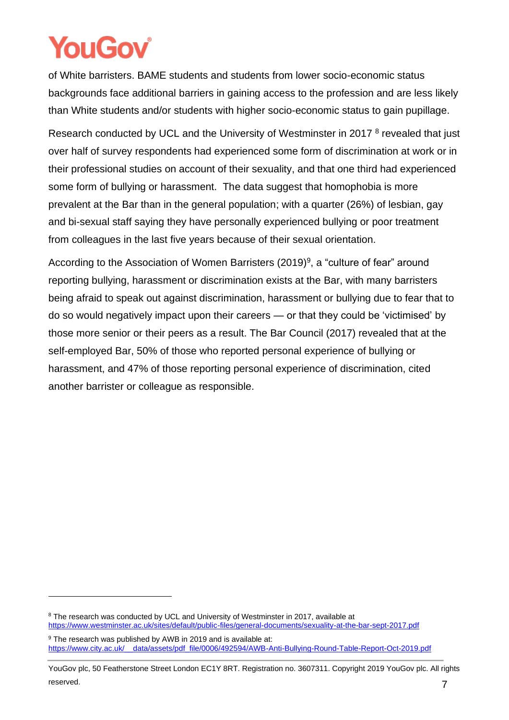of White barristers. BAME students and students from lower socio-economic status backgrounds face additional barriers in gaining access to the profession and are less likely than White students and/or students with higher socio-economic status to gain pupillage.

Research conducted by UCL and the University of Westminster in 2017<sup>8</sup> revealed that just over half of survey respondents had experienced some form of discrimination at work or in their professional studies on account of their sexuality, and that one third had experienced some form of bullying or harassment. The data suggest that homophobia is more prevalent at the Bar than in the general population; with a quarter (26%) of lesbian, gay and bi-sexual staff saying they have personally experienced bullying or poor treatment from colleagues in the last five years because of their sexual orientation.

According to the Association of Women Barristers (2019)<sup>9</sup>, a "culture of fear" around reporting bullying, harassment or discrimination exists at the Bar, with many barristers being afraid to speak out against discrimination, harassment or bullying due to fear that to do so would negatively impact upon their careers — or that they could be 'victimised' by those more senior or their peers as a result. The Bar Council (2017) revealed that at the self-employed Bar, 50% of those who reported personal experience of bullying or harassment, and 47% of those reporting personal experience of discrimination, cited another barrister or colleague as responsible.

<sup>&</sup>lt;sup>8</sup> The research was conducted by UCL and University of Westminster in 2017, available at <https://www.westminster.ac.uk/sites/default/public-files/general-documents/sexuality-at-the-bar-sept-2017.pdf>

<sup>&</sup>lt;sup>9</sup> The research was published by AWB in 2019 and is available at: [https://www.city.ac.uk/\\_\\_data/assets/pdf\\_file/0006/492594/AWB-Anti-Bullying-Round-Table-Report-Oct-2019.pdf](https://www.city.ac.uk/__data/assets/pdf_file/0006/492594/AWB-Anti-Bullying-Round-Table-Report-Oct-2019.pdf)

YouGov plc, 50 Featherstone Street London EC1Y 8RT. Registration no. 3607311. Copyright 2019 YouGov plc. All rights reserved. The contract of the contract of the contract of the contract of the contract of the contract of the contract of the contract of the contract of the contract of the contract of the contract of the contract of the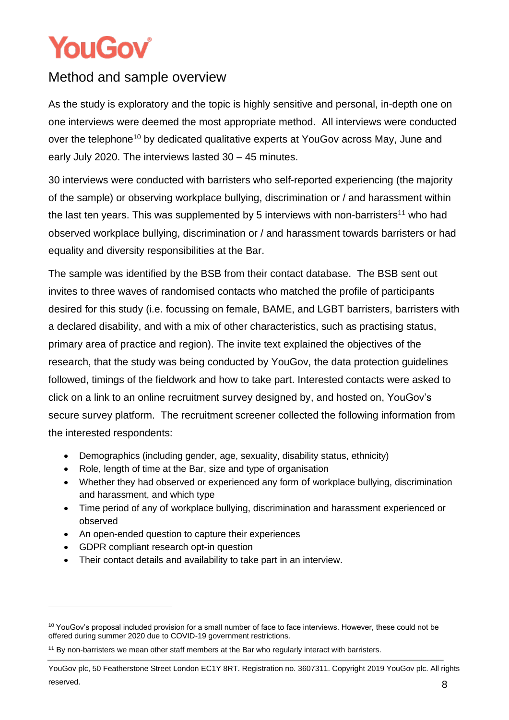### <span id="page-8-0"></span>Method and sample overview

As the study is exploratory and the topic is highly sensitive and personal, in-depth one on one interviews were deemed the most appropriate method. All interviews were conducted over the telephone<sup>10</sup> by dedicated qualitative experts at YouGov across May, June and early July 2020. The interviews lasted 30 – 45 minutes.

30 interviews were conducted with barristers who self-reported experiencing (the majority of the sample) or observing workplace bullying, discrimination or / and harassment within the last ten years. This was supplemented by 5 interviews with non-barristers<sup>11</sup> who had observed workplace bullying, discrimination or / and harassment towards barristers or had equality and diversity responsibilities at the Bar.

The sample was identified by the BSB from their contact database. The BSB sent out invites to three waves of randomised contacts who matched the profile of participants desired for this study (i.e. focussing on female, BAME, and LGBT barristers, barristers with a declared disability, and with a mix of other characteristics, such as practising status, primary area of practice and region). The invite text explained the objectives of the research, that the study was being conducted by YouGov, the data protection guidelines followed, timings of the fieldwork and how to take part. Interested contacts were asked to click on a link to an online recruitment survey designed by, and hosted on, YouGov's secure survey platform. The recruitment screener collected the following information from the interested respondents:

- Demographics (including gender, age, sexuality, disability status, ethnicity)
- Role, length of time at the Bar, size and type of organisation
- Whether they had observed or experienced any form of workplace bullying, discrimination and harassment, and which type
- Time period of any of workplace bullying, discrimination and harassment experienced or observed
- An open-ended question to capture their experiences
- GDPR compliant research opt-in question
- Their contact details and availability to take part in an interview.

<sup>&</sup>lt;sup>10</sup> YouGov's proposal included provision for a small number of face to face interviews. However, these could not be offered during summer 2020 due to COVID-19 government restrictions.

<sup>&</sup>lt;sup>11</sup> By non-barristers we mean other staff members at the Bar who regularly interact with barristers.

YouGov plc, 50 Featherstone Street London EC1Y 8RT. Registration no. 3607311. Copyright 2019 YouGov plc. All rights reserved. 8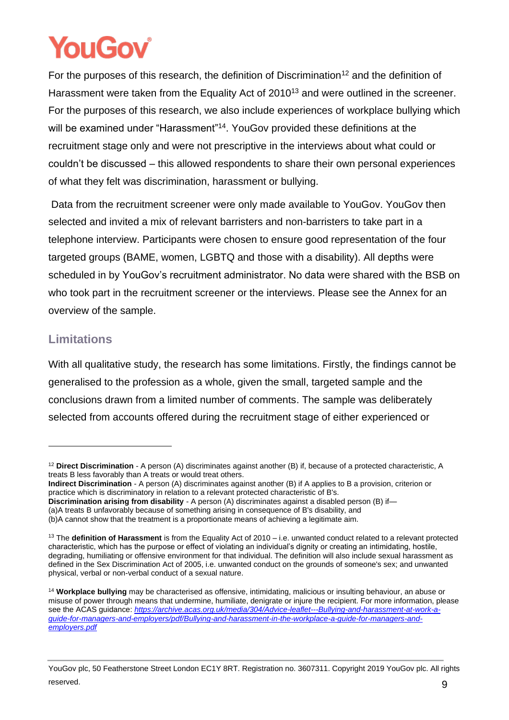For the purposes of this research, the definition of Discrimination<sup>12</sup> and the definition of Harassment were taken from the Equality Act of 2010<sup>13</sup> and were outlined in the screener. For the purposes of this research, we also include experiences of workplace bullying which will be examined under "Harassment"<sup>14</sup>. YouGov provided these definitions at the recruitment stage only and were not prescriptive in the interviews about what could or couldn't be discussed – this allowed respondents to share their own personal experiences of what they felt was discrimination, harassment or bullying.

Data from the recruitment screener were only made available to YouGov. YouGov then selected and invited a mix of relevant barristers and non-barristers to take part in a telephone interview. Participants were chosen to ensure good representation of the four targeted groups (BAME, women, LGBTQ and those with a disability). All depths were scheduled in by YouGov's recruitment administrator. No data were shared with the BSB on who took part in the recruitment screener or the interviews. Please see the Annex for an overview of the sample.

### <span id="page-9-0"></span>**Limitations**

With all qualitative study, the research has some limitations. Firstly, the findings cannot be generalised to the profession as a whole, given the small, targeted sample and the conclusions drawn from a limited number of comments. The sample was deliberately selected from accounts offered during the recruitment stage of either experienced or

**Discrimination arising from disability** - A person (A) discriminates against a disabled person (B) if—

<sup>12</sup> **Direct Discrimination** - A person (A) discriminates against another (B) if, because of a protected characteristic, A treats B less favorably than A treats or would treat others.

**Indirect Discrimination** - A person (A) discriminates against another (B) if A applies to B a provision, criterion or practice which is discriminatory in relation to a relevant protected characteristic of B's.

<sup>(</sup>a)A treats B unfavorably because of something arising in consequence of B's disability, and

<sup>(</sup>b)A cannot show that the treatment is a proportionate means of achieving a legitimate aim.

<sup>13</sup> The **definition of Harassment** is from the Equality Act of 2010 – i.e. unwanted conduct related to a relevant protected characteristic, which has the purpose or effect of violating an individual's dignity or creating an intimidating, hostile, degrading, humiliating or offensive environment for that individual. The definition will also include sexual harassment as defined in the Sex Discrimination Act of 2005, i.e. unwanted conduct on the grounds of someone's sex; and unwanted physical, verbal or non-verbal conduct of a sexual nature.

<sup>14</sup> **Workplace bullying** may be characterised as offensive, intimidating, malicious or insulting behaviour, an abuse or misuse of power through means that undermine, humiliate, denigrate or injure the recipient. For more information, please see the ACAS guidance: *[https://archive.acas.org.uk/media/304/Advice-leaflet---Bullying-and-harassment-at-work-a](https://archive.acas.org.uk/media/304/Advice-leaflet---Bullying-and-harassment-at-work-a-guide-for-managers-and-employers/pdf/Bullying-and-harassment-in-the-workplace-a-guide-for-managers-and-employers.pdf)[guide-for-managers-and-employers/pdf/Bullying-and-harassment-in-the-workplace-a-guide-for-managers-and](https://archive.acas.org.uk/media/304/Advice-leaflet---Bullying-and-harassment-at-work-a-guide-for-managers-and-employers/pdf/Bullying-and-harassment-in-the-workplace-a-guide-for-managers-and-employers.pdf)[employers.pdf](https://archive.acas.org.uk/media/304/Advice-leaflet---Bullying-and-harassment-at-work-a-guide-for-managers-and-employers/pdf/Bullying-and-harassment-in-the-workplace-a-guide-for-managers-and-employers.pdf)*

YouGov plc, 50 Featherstone Street London EC1Y 8RT. Registration no. 3607311. Copyright 2019 YouGov plc. All rights reserved. 9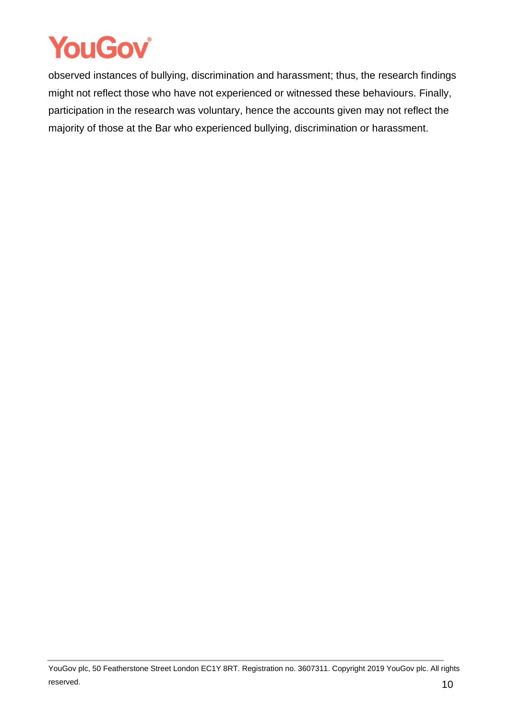

observed instances of bullying, discrimination and harassment; thus, the research findings might not reflect those who have not experienced or witnessed these behaviours. Finally, participation in the research was voluntary, hence the accounts given may not reflect the majority of those at the Bar who experienced bullying, discrimination or harassment.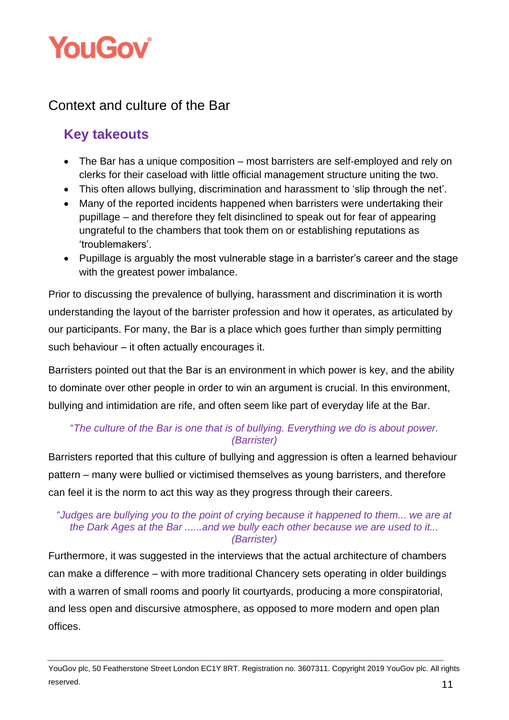

### <span id="page-11-0"></span>Context and culture of the Bar

### **Key takeouts**

- The Bar has a unique composition most barristers are self-employed and rely on clerks for their caseload with little official management structure uniting the two.
- This often allows bullying, discrimination and harassment to 'slip through the net'.
- Many of the reported incidents happened when barristers were undertaking their pupillage – and therefore they felt disinclined to speak out for fear of appearing ungrateful to the chambers that took them on or establishing reputations as 'troublemakers'.
- Pupillage is arguably the most vulnerable stage in a barrister's career and the stage with the greatest power imbalance.

Prior to discussing the prevalence of bullying, harassment and discrimination it is worth understanding the layout of the barrister profession and how it operates, as articulated by our participants. For many, the Bar is a place which goes further than simply permitting such behaviour – it often actually encourages it.

Barristers pointed out that the Bar is an environment in which power is key, and the ability to dominate over other people in order to win an argument is crucial. In this environment, bullying and intimidation are rife, and often seem like part of everyday life at the Bar.

#### "*The culture of the Bar is one that is of bullying. Everything we do is about power. (Barrister)*

Barristers reported that this culture of bullying and aggression is often a learned behaviour pattern – many were bullied or victimised themselves as young barristers, and therefore can feel it is the norm to act this way as they progress through their careers.

#### "*Judges are bullying you to the point of crying because it happened to them... we are at the Dark Ages at the Bar ......and we bully each other because we are used to it... (Barrister)*

Furthermore, it was suggested in the interviews that the actual architecture of chambers can make a difference – with more traditional Chancery sets operating in older buildings with a warren of small rooms and poorly lit courtyards, producing a more conspiratorial, and less open and discursive atmosphere, as opposed to more modern and open plan offices.

YouGov plc, 50 Featherstone Street London EC1Y 8RT. Registration no. 3607311. Copyright 2019 YouGov plc. All rights reserved. **11**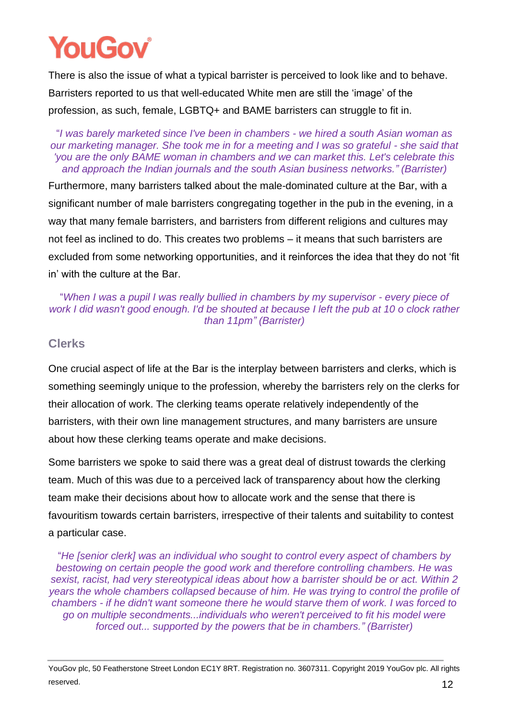There is also the issue of what a typical barrister is perceived to look like and to behave. Barristers reported to us that well-educated White men are still the 'image' of the profession, as such, female, LGBTQ+ and BAME barristers can struggle to fit in.

#### "*I was barely marketed since I've been in chambers - we hired a south Asian woman as our marketing manager. She took me in for a meeting and I was so grateful - she said that 'you are the only BAME woman in chambers and we can market this. Let's celebrate this and approach the Indian journals and the south Asian business networks." (Barrister)*

Furthermore, many barristers talked about the male-dominated culture at the Bar, with a significant number of male barristers congregating together in the pub in the evening, in a way that many female barristers, and barristers from different religions and cultures may not feel as inclined to do. This creates two problems – it means that such barristers are excluded from some networking opportunities, and it reinforces the idea that they do not 'fit in' with the culture at the Bar.

#### "*When I was a pupil I was really bullied in chambers by my supervisor - every piece of work I did wasn't good enough. I'd be shouted at because I left the pub at 10 o clock rather than 11pm" (Barrister)*

#### <span id="page-12-0"></span>**Clerks**

One crucial aspect of life at the Bar is the interplay between barristers and clerks, which is something seemingly unique to the profession, whereby the barristers rely on the clerks for their allocation of work. The clerking teams operate relatively independently of the barristers, with their own line management structures, and many barristers are unsure about how these clerking teams operate and make decisions.

Some barristers we spoke to said there was a great deal of distrust towards the clerking team. Much of this was due to a perceived lack of transparency about how the clerking team make their decisions about how to allocate work and the sense that there is favouritism towards certain barristers, irrespective of their talents and suitability to contest a particular case.

"*He [senior clerk] was an individual who sought to control every aspect of chambers by bestowing on certain people the good work and therefore controlling chambers. He was sexist, racist, had very stereotypical ideas about how a barrister should be or act. Within 2 years the whole chambers collapsed because of him. He was trying to control the profile of chambers - if he didn't want someone there he would starve them of work. I was forced to go on multiple secondments...individuals who weren't perceived to fit his model were forced out... supported by the powers that be in chambers." (Barrister)*

YouGov plc, 50 Featherstone Street London EC1Y 8RT. Registration no. 3607311. Copyright 2019 YouGov plc. All rights reserved.  $12$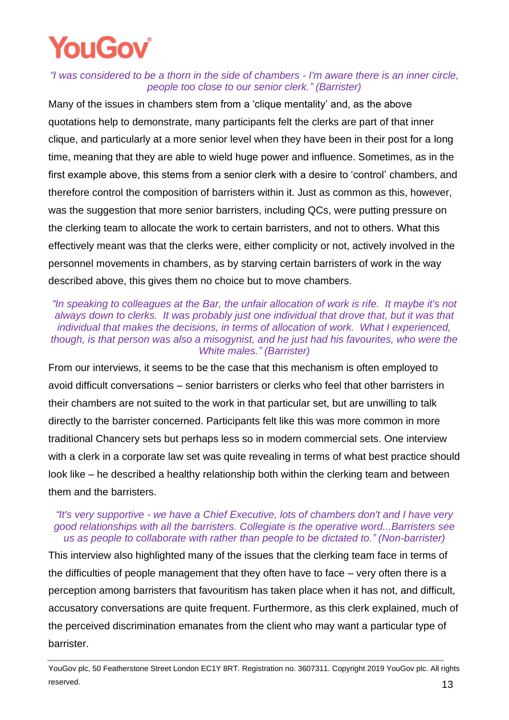#### *"I was considered to be a thorn in the side of chambers - I'm aware there is an inner circle, people too close to our senior clerk." (Barrister)*

Many of the issues in chambers stem from a 'clique mentality' and, as the above quotations help to demonstrate, many participants felt the clerks are part of that inner clique, and particularly at a more senior level when they have been in their post for a long time, meaning that they are able to wield huge power and influence. Sometimes, as in the first example above, this stems from a senior clerk with a desire to 'control' chambers, and therefore control the composition of barristers within it. Just as common as this, however, was the suggestion that more senior barristers, including QCs, were putting pressure on the clerking team to allocate the work to certain barristers, and not to others. What this effectively meant was that the clerks were, either complicity or not, actively involved in the personnel movements in chambers, as by starving certain barristers of work in the way described above, this gives them no choice but to move chambers.

#### "In speaking to colleagues at the Bar, the unfair allocation of work is rife. It maybe it's not *always down to clerks. It was probably just one individual that drove that, but it was that individual that makes the decisions, in terms of allocation of work. What I experienced, though, is that person was also a misogynist, and he just had his favourites, who were the White males." (Barrister)*

From our interviews, it seems to be the case that this mechanism is often employed to avoid difficult conversations – senior barristers or clerks who feel that other barristers in their chambers are not suited to the work in that particular set, but are unwilling to talk directly to the barrister concerned. Participants felt like this was more common in more traditional Chancery sets but perhaps less so in modern commercial sets. One interview with a clerk in a corporate law set was quite revealing in terms of what best practice should look like – he described a healthy relationship both within the clerking team and between them and the barristers.

#### *"It's very supportive - we have a Chief Executive, lots of chambers don't and I have very good relationships with all the barristers. Collegiate is the operative word...Barristers see us as people to collaborate with rather than people to be dictated to." (Non-barrister)*

This interview also highlighted many of the issues that the clerking team face in terms of the difficulties of people management that they often have to face – very often there is a perception among barristers that favouritism has taken place when it has not, and difficult, accusatory conversations are quite frequent. Furthermore, as this clerk explained, much of the perceived discrimination emanates from the client who may want a particular type of barrister.

YouGov plc, 50 Featherstone Street London EC1Y 8RT. Registration no. 3607311. Copyright 2019 YouGov plc. All rights reserved.  $13$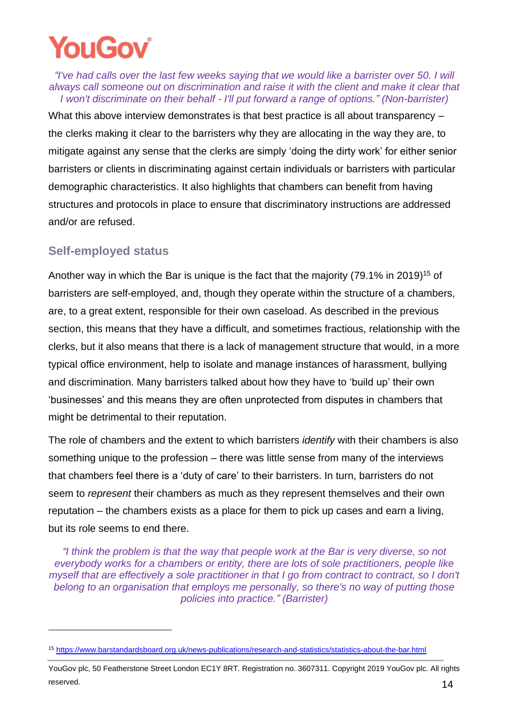# **YOUGOV**

*"I've had calls over the last few weeks saying that we would like a barrister over 50. I will always call someone out on discrimination and raise it with the client and make it clear that I won't discriminate on their behalf - I'll put forward a range of options." (Non-barrister)*

What this above interview demonstrates is that best practice is all about transparency – the clerks making it clear to the barristers why they are allocating in the way they are, to mitigate against any sense that the clerks are simply 'doing the dirty work' for either senior barristers or clients in discriminating against certain individuals or barristers with particular demographic characteristics. It also highlights that chambers can benefit from having structures and protocols in place to ensure that discriminatory instructions are addressed and/or are refused.

#### <span id="page-14-0"></span>**Self-employed status**

Another way in which the Bar is unique is the fact that the majority (79.1% in 2019) <sup>15</sup> of barristers are self-employed, and, though they operate within the structure of a chambers, are, to a great extent, responsible for their own caseload. As described in the previous section, this means that they have a difficult, and sometimes fractious, relationship with the clerks, but it also means that there is a lack of management structure that would, in a more typical office environment, help to isolate and manage instances of harassment, bullying and discrimination. Many barristers talked about how they have to 'build up' their own 'businesses' and this means they are often unprotected from disputes in chambers that might be detrimental to their reputation.

The role of chambers and the extent to which barristers *identify* with their chambers is also something unique to the profession – there was little sense from many of the interviews that chambers feel there is a 'duty of care' to their barristers. In turn, barristers do not seem to *represent* their chambers as much as they represent themselves and their own reputation – the chambers exists as a place for them to pick up cases and earn a living, but its role seems to end there.

*"I think the problem is that the way that people work at the Bar is very diverse, so not everybody works for a chambers or entity, there are lots of sole practitioners, people like myself that are effectively a sole practitioner in that I go from contract to contract, so I don't belong to an organisation that employs me personally, so there's no way of putting those policies into practice." (Barrister)*

<sup>15</sup> <https://www.barstandardsboard.org.uk/news-publications/research-and-statistics/statistics-about-the-bar.html>

YouGov plc, 50 Featherstone Street London EC1Y 8RT. Registration no. 3607311. Copyright 2019 YouGov plc. All rights reserved.  $14$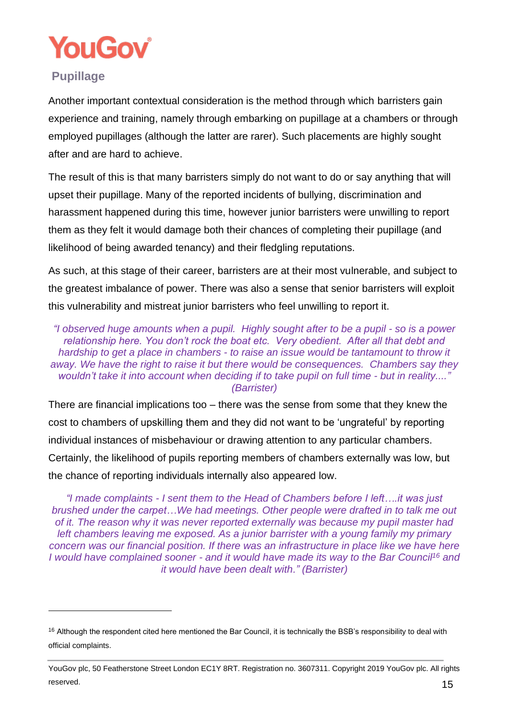

### <span id="page-15-0"></span>**Pupillage**

Another important contextual consideration is the method through which barristers gain experience and training, namely through embarking on pupillage at a chambers or through employed pupillages (although the latter are rarer). Such placements are highly sought after and are hard to achieve.

The result of this is that many barristers simply do not want to do or say anything that will upset their pupillage. Many of the reported incidents of bullying, discrimination and harassment happened during this time, however junior barristers were unwilling to report them as they felt it would damage both their chances of completing their pupillage (and likelihood of being awarded tenancy) and their fledgling reputations.

As such, at this stage of their career, barristers are at their most vulnerable, and subject to the greatest imbalance of power. There was also a sense that senior barristers will exploit this vulnerability and mistreat junior barristers who feel unwilling to report it.

*"I observed huge amounts when a pupil. Highly sought after to be a pupil - so is a power relationship here. You don't rock the boat etc. Very obedient. After all that debt and hardship to get a place in chambers - to raise an issue would be tantamount to throw it away. We have the right to raise it but there would be consequences. Chambers say they wouldn't take it into account when deciding if to take pupil on full time - but in reality...." (Barrister)*

There are financial implications too – there was the sense from some that they knew the cost to chambers of upskilling them and they did not want to be 'ungrateful' by reporting individual instances of misbehaviour or drawing attention to any particular chambers. Certainly, the likelihood of pupils reporting members of chambers externally was low, but the chance of reporting individuals internally also appeared low.

*"I made complaints - I sent them to the Head of Chambers before I left….it was just brushed under the carpet…We had meetings. Other people were drafted in to talk me out of it. The reason why it was never reported externally was because my pupil master had left chambers leaving me exposed. As a junior barrister with a young family my primary concern was our financial position. If there was an infrastructure in place like we have here I would have complained sooner - and it would have made its way to the Bar Council<sup>16</sup> and it would have been dealt with." (Barrister)*

<sup>&</sup>lt;sup>16</sup> Although the respondent cited here mentioned the Bar Council, it is technically the BSB's responsibility to deal with official complaints.

YouGov plc, 50 Featherstone Street London EC1Y 8RT. Registration no. 3607311. Copyright 2019 YouGov plc. All rights reserved.  $15$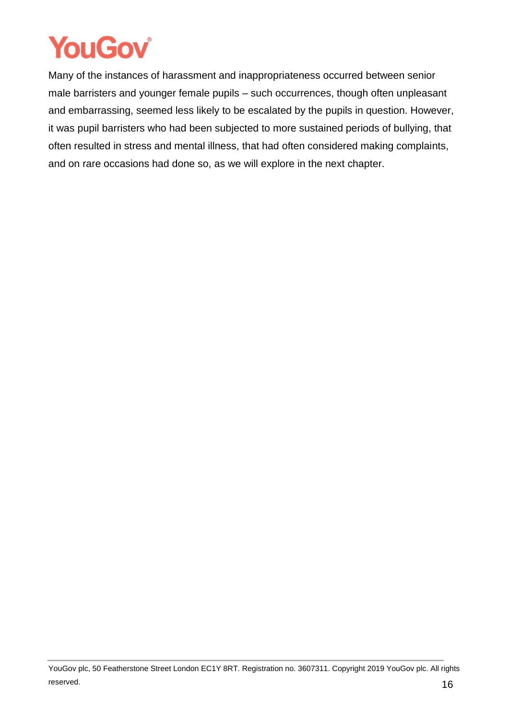Many of the instances of harassment and inappropriateness occurred between senior male barristers and younger female pupils – such occurrences, though often unpleasant and embarrassing, seemed less likely to be escalated by the pupils in question. However, it was pupil barristers who had been subjected to more sustained periods of bullying, that often resulted in stress and mental illness, that had often considered making complaints, and on rare occasions had done so, as we will explore in the next chapter.

YouGov plc, 50 Featherstone Street London EC1Y 8RT. Registration no. 3607311. Copyright 2019 YouGov plc. All rights reserved.  $16$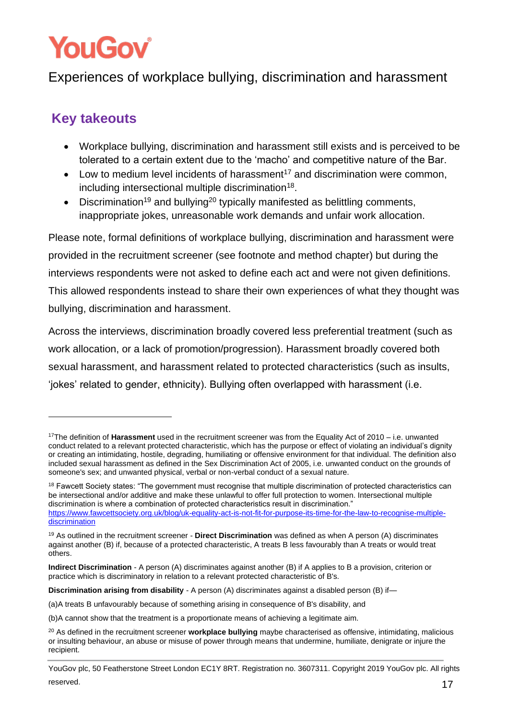## <span id="page-17-0"></span>Experiences of workplace bullying, discrimination and harassment

### **Key takeouts**

- Workplace bullying, discrimination and harassment still exists and is perceived to be tolerated to a certain extent due to the 'macho' and competitive nature of the Bar.
- Low to medium level incidents of harassment<sup>17</sup> and discrimination were common, including intersectional multiple discrimination<sup>18</sup>.
- Discrimination<sup>19</sup> and bullying<sup>20</sup> typically manifested as belittling comments, inappropriate jokes, unreasonable work demands and unfair work allocation.

Please note, formal definitions of workplace bullying, discrimination and harassment were provided in the recruitment screener (see footnote and method chapter) but during the interviews respondents were not asked to define each act and were not given definitions. This allowed respondents instead to share their own experiences of what they thought was bullying, discrimination and harassment.

Across the interviews, discrimination broadly covered less preferential treatment (such as work allocation, or a lack of promotion/progression). Harassment broadly covered both sexual harassment, and harassment related to protected characteristics (such as insults, 'jokes' related to gender, ethnicity). Bullying often overlapped with harassment (i.e.

**Discrimination arising from disability** - A person (A) discriminates against a disabled person (B) if—

<sup>17</sup>The definition of **Harassment** used in the recruitment screener was from the Equality Act of 2010 – i.e. unwanted conduct related to a relevant protected characteristic, which has the purpose or effect of violating an individual's dignity or creating an intimidating, hostile, degrading, humiliating or offensive environment for that individual. The definition also included sexual harassment as defined in the Sex Discrimination Act of 2005, i.e. unwanted conduct on the grounds of someone's sex; and unwanted physical, verbal or non-verbal conduct of a sexual nature.

<sup>&</sup>lt;sup>18</sup> Fawcett Society states: "The government must recognise that multiple discrimination of protected characteristics can be intersectional and/or additive and make these unlawful to offer full protection to women. Intersectional multiple discrimination is where a combination of protected characteristics result in discrimination." [https://www.fawcettsociety.org.uk/blog/uk-equality-act-is-not-fit-for-purpose-its-time-for-the-law-to-recognise-multiple](https://www.fawcettsociety.org.uk/blog/uk-equality-act-is-not-fit-for-purpose-its-time-for-the-law-to-recognise-multiple-discrimination)[discrimination](https://www.fawcettsociety.org.uk/blog/uk-equality-act-is-not-fit-for-purpose-its-time-for-the-law-to-recognise-multiple-discrimination)

<sup>19</sup> As outlined in the recruitment screener - **Direct Discrimination** was defined as when A person (A) discriminates against another (B) if, because of a protected characteristic, A treats B less favourably than A treats or would treat others.

**Indirect Discrimination** - A person (A) discriminates against another (B) if A applies to B a provision, criterion or practice which is discriminatory in relation to a relevant protected characteristic of B's.

<sup>(</sup>a)A treats B unfavourably because of something arising in consequence of B's disability, and

<sup>(</sup>b)A cannot show that the treatment is a proportionate means of achieving a legitimate aim.

<sup>20</sup> As defined in the recruitment screener **workplace bullying** maybe characterised as offensive, intimidating, malicious or insulting behaviour, an abuse or misuse of power through means that undermine, humiliate, denigrate or injure the recipient.

YouGov plc, 50 Featherstone Street London EC1Y 8RT. Registration no. 3607311. Copyright 2019 YouGov plc. All rights reserved.  $17$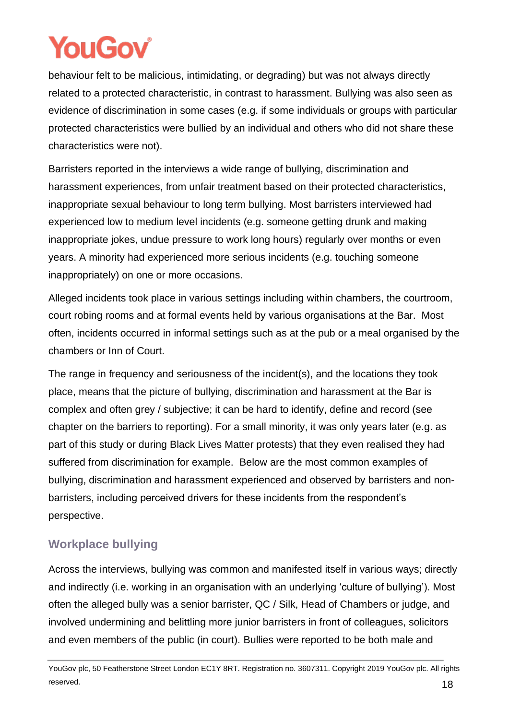behaviour felt to be malicious, intimidating, or degrading) but was not always directly related to a protected characteristic, in contrast to harassment. Bullying was also seen as evidence of discrimination in some cases (e.g. if some individuals or groups with particular protected characteristics were bullied by an individual and others who did not share these characteristics were not).

Barristers reported in the interviews a wide range of bullying, discrimination and harassment experiences, from unfair treatment based on their protected characteristics, inappropriate sexual behaviour to long term bullying. Most barristers interviewed had experienced low to medium level incidents (e.g. someone getting drunk and making inappropriate jokes, undue pressure to work long hours) regularly over months or even years. A minority had experienced more serious incidents (e.g. touching someone inappropriately) on one or more occasions.

Alleged incidents took place in various settings including within chambers, the courtroom, court robing rooms and at formal events held by various organisations at the Bar. Most often, incidents occurred in informal settings such as at the pub or a meal organised by the chambers or Inn of Court.

The range in frequency and seriousness of the incident(s), and the locations they took place, means that the picture of bullying, discrimination and harassment at the Bar is complex and often grey / subjective; it can be hard to identify, define and record (see chapter on the barriers to reporting). For a small minority, it was only years later (e.g. as part of this study or during Black Lives Matter protests) that they even realised they had suffered from discrimination for example. Below are the most common examples of bullying, discrimination and harassment experienced and observed by barristers and nonbarristers, including perceived drivers for these incidents from the respondent's perspective.

### <span id="page-18-0"></span>**Workplace bullying**

Across the interviews, bullying was common and manifested itself in various ways; directly and indirectly (i.e. working in an organisation with an underlying 'culture of bullying'). Most often the alleged bully was a senior barrister, QC / Silk, Head of Chambers or judge, and involved undermining and belittling more junior barristers in front of colleagues, solicitors and even members of the public (in court). Bullies were reported to be both male and

YouGov plc, 50 Featherstone Street London EC1Y 8RT. Registration no. 3607311. Copyright 2019 YouGov plc. All rights reserved. **18**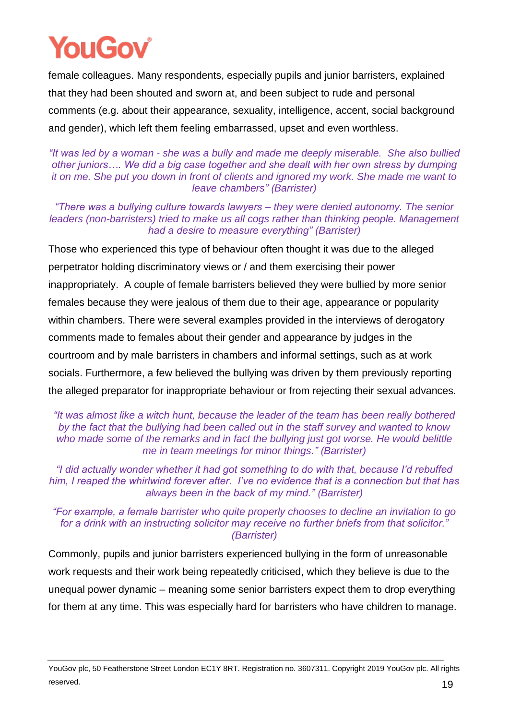# YouGoy

female colleagues. Many respondents, especially pupils and junior barristers, explained that they had been shouted and sworn at, and been subject to rude and personal comments (e.g. about their appearance, sexuality, intelligence, accent, social background and gender), which left them feeling embarrassed, upset and even worthless.

*"It was led by a woman - she was a bully and made me deeply miserable. She also bullied other juniors…. We did a big case together and she dealt with her own stress by dumping it on me. She put you down in front of clients and ignored my work. She made me want to leave chambers" (Barrister)*

*"There was a bullying culture towards lawyers – they were denied autonomy. The senior leaders (non-barristers) tried to make us all cogs rather than thinking people. Management had a desire to measure everything" (Barrister)*

Those who experienced this type of behaviour often thought it was due to the alleged perpetrator holding discriminatory views or / and them exercising their power inappropriately. A couple of female barristers believed they were bullied by more senior females because they were jealous of them due to their age, appearance or popularity within chambers. There were several examples provided in the interviews of derogatory comments made to females about their gender and appearance by judges in the courtroom and by male barristers in chambers and informal settings, such as at work socials. Furthermore, a few believed the bullying was driven by them previously reporting the alleged preparator for inappropriate behaviour or from rejecting their sexual advances.

#### *"It was almost like a witch hunt, because the leader of the team has been really bothered by the fact that the bullying had been called out in the staff survey and wanted to know who made some of the remarks and in fact the bullying just got worse. He would belittle me in team meetings for minor things." (Barrister)*

*"I did actually wonder whether it had got something to do with that, because I'd rebuffed him, I reaped the whirlwind forever after. I've no evidence that is a connection but that has always been in the back of my mind." (Barrister)*

*"For example, a female barrister who quite properly chooses to decline an invitation to go for a drink with an instructing solicitor may receive no further briefs from that solicitor." (Barrister)*

Commonly, pupils and junior barristers experienced bullying in the form of unreasonable work requests and their work being repeatedly criticised, which they believe is due to the unequal power dynamic – meaning some senior barristers expect them to drop everything for them at any time. This was especially hard for barristers who have children to manage.

YouGov plc, 50 Featherstone Street London EC1Y 8RT. Registration no. 3607311. Copyright 2019 YouGov plc. All rights reserved. **19**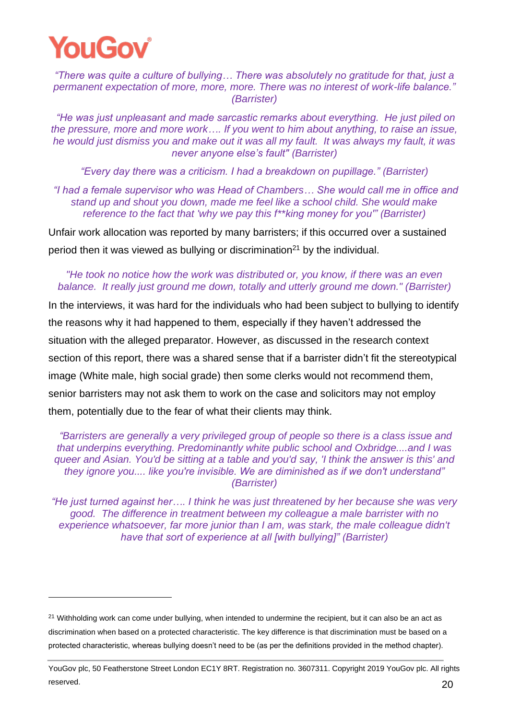*"There was quite a culture of bullying… There was absolutely no gratitude for that, just a permanent expectation of more, more, more. There was no interest of work-life balance." (Barrister)*

*"He was just unpleasant and made sarcastic remarks about everything. He just piled on the pressure, more and more work…. If you went to him about anything, to raise an issue, he would just dismiss you and make out it was all my fault. It was always my fault, it was never anyone else's fault" (Barrister)*

*"Every day there was a criticism. I had a breakdown on pupillage." (Barrister)*

*"I had a female supervisor who was Head of Chambers… She would call me in office and stand up and shout you down, made me feel like a school child. She would make reference to the fact that 'why we pay this f\*\*king money for you'" (Barrister)*

Unfair work allocation was reported by many barristers; if this occurred over a sustained period then it was viewed as bullying or discrimination<sup>21</sup> by the individual.

#### *"He took no notice how the work was distributed or, you know, if there was an even balance. It really just ground me down, totally and utterly ground me down." (Barrister)*

In the interviews, it was hard for the individuals who had been subject to bullying to identify the reasons why it had happened to them, especially if they haven't addressed the situation with the alleged preparator. However, as discussed in the research context section of this report, there was a shared sense that if a barrister didn't fit the stereotypical image (White male, high social grade) then some clerks would not recommend them, senior barristers may not ask them to work on the case and solicitors may not employ them, potentially due to the fear of what their clients may think.

*"Barristers are generally a very privileged group of people so there is a class issue and that underpins everything. Predominantly white public school and Oxbridge....and I was queer and Asian. You'd be sitting at a table and you'd say, 'I think the answer is this' and they ignore you.... like you're invisible. We are diminished as if we don't understand" (Barrister)*

*"He just turned against her…. I think he was just threatened by her because she was very good. The difference in treatment between my colleague a male barrister with no experience whatsoever, far more junior than I am, was stark, the male colleague didn't have that sort of experience at all [with bullying]" (Barrister)*

 $21$  Withholding work can come under bullying, when intended to undermine the recipient, but it can also be an act as discrimination when based on a protected characteristic. The key difference is that discrimination must be based on a protected characteristic, whereas bullying doesn't need to be (as per the definitions provided in the method chapter).

YouGov plc, 50 Featherstone Street London EC1Y 8RT. Registration no. 3607311. Copyright 2019 YouGov plc. All rights reserved.  $20$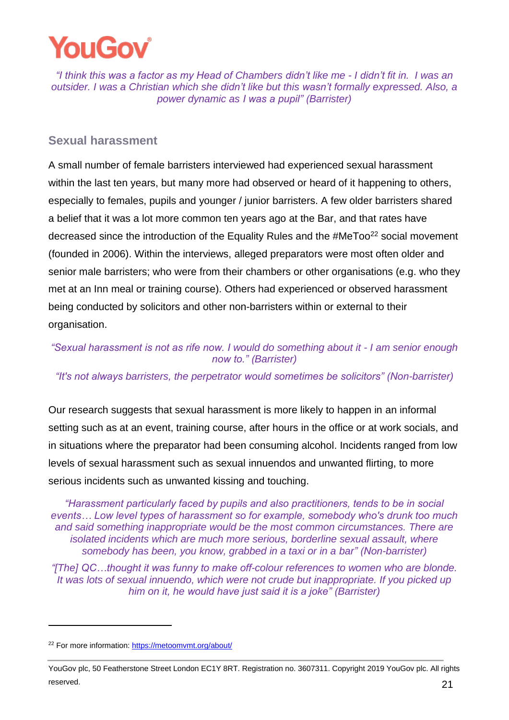

*"I think this was a factor as my Head of Chambers didn't like me - I didn't fit in. I was an outsider. I was a Christian which she didn't like but this wasn't formally expressed. Also, a power dynamic as I was a pupil" (Barrister)*

#### <span id="page-21-0"></span>**Sexual harassment**

A small number of female barristers interviewed had experienced sexual harassment within the last ten years, but many more had observed or heard of it happening to others, especially to females, pupils and younger / junior barristers. A few older barristers shared a belief that it was a lot more common ten years ago at the Bar, and that rates have decreased since the introduction of the Equality Rules and the #MeToo<sup>22</sup> social movement (founded in 2006). Within the interviews, alleged preparators were most often older and senior male barristers; who were from their chambers or other organisations (e.g. who they met at an Inn meal or training course). Others had experienced or observed harassment being conducted by solicitors and other non-barristers within or external to their organisation.

*"Sexual harassment is not as rife now. I would do something about it - I am senior enough now to." (Barrister)*

*"It's not always barristers, the perpetrator would sometimes be solicitors" (Non-barrister)*

Our research suggests that sexual harassment is more likely to happen in an informal setting such as at an event, training course, after hours in the office or at work socials, and in situations where the preparator had been consuming alcohol. Incidents ranged from low levels of sexual harassment such as sexual innuendos and unwanted flirting, to more serious incidents such as unwanted kissing and touching.

*"Harassment particularly faced by pupils and also practitioners, tends to be in social events… Low level types of harassment so for example, somebody who's drunk too much and said something inappropriate would be the most common circumstances. There are isolated incidents which are much more serious, borderline sexual assault, where somebody has been, you know, grabbed in a taxi or in a bar" (Non-barrister)*

*"[The] QC…thought it was funny to make off-colour references to women who are blonde. It was lots of sexual innuendo, which were not crude but inappropriate. If you picked up him on it, he would have just said it is a joke" (Barrister)*

<sup>22</sup> For more information:<https://metoomvmt.org/about/>

YouGov plc, 50 Featherstone Street London EC1Y 8RT. Registration no. 3607311. Copyright 2019 YouGov plc. All rights reserved. 21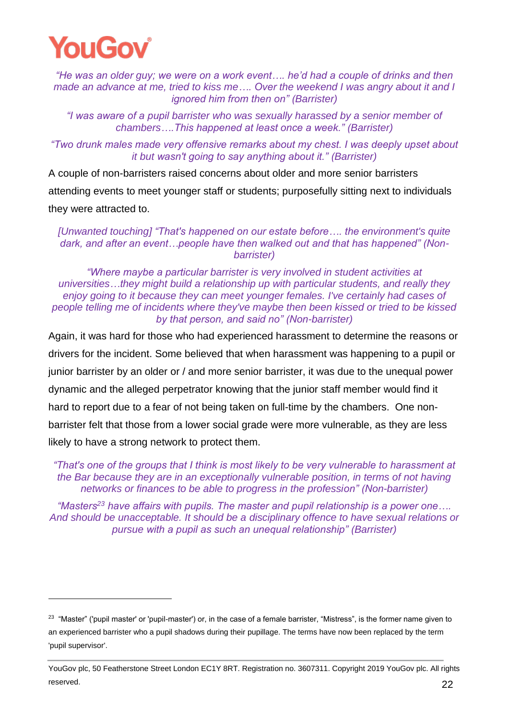

*"He was an older guy; we were on a work event…. he'd had a couple of drinks and then made an advance at me, tried to kiss me…. Over the weekend I was angry about it and I ignored him from then on" (Barrister)* 

*"I was aware of a pupil barrister who was sexually harassed by a senior member of chambers….This happened at least once a week." (Barrister)*

*"Two drunk males made very offensive remarks about my chest. I was deeply upset about it but wasn't going to say anything about it." (Barrister)*

A couple of non-barristers raised concerns about older and more senior barristers attending events to meet younger staff or students; purposefully sitting next to individuals they were attracted to.

*[Unwanted touching] "That's happened on our estate before…. the environment's quite dark, and after an event…people have then walked out and that has happened" (Nonbarrister)*

*"Where maybe a particular barrister is very involved in student activities at universities…they might build a relationship up with particular students, and really they enjoy going to it because they can meet younger females. I've certainly had cases of people telling me of incidents where they've maybe then been kissed or tried to be kissed by that person, and said no" (Non-barrister)*

Again, it was hard for those who had experienced harassment to determine the reasons or drivers for the incident. Some believed that when harassment was happening to a pupil or junior barrister by an older or / and more senior barrister, it was due to the unequal power dynamic and the alleged perpetrator knowing that the junior staff member would find it hard to report due to a fear of not being taken on full-time by the chambers. One nonbarrister felt that those from a lower social grade were more vulnerable, as they are less likely to have a strong network to protect them.

*"That's one of the groups that I think is most likely to be very vulnerable to harassment at the Bar because they are in an exceptionally vulnerable position, in terms of not having networks or finances to be able to progress in the profession" (Non-barrister)*

*"Masters<sup>23</sup> have affairs with pupils. The master and pupil relationship is a power one…. And should be unacceptable. It should be a disciplinary offence to have sexual relations or pursue with a pupil as such an unequal relationship" (Barrister)*

 $23$  "Master" ('pupil master' or 'pupil-master') or, in the case of a female barrister, "Mistress", is the former name given to an experienced barrister who a pupil shadows during their pupillage. The terms have now been replaced by the term 'pupil supervisor'.

YouGov plc, 50 Featherstone Street London EC1Y 8RT. Registration no. 3607311. Copyright 2019 YouGov plc. All rights reserved. 22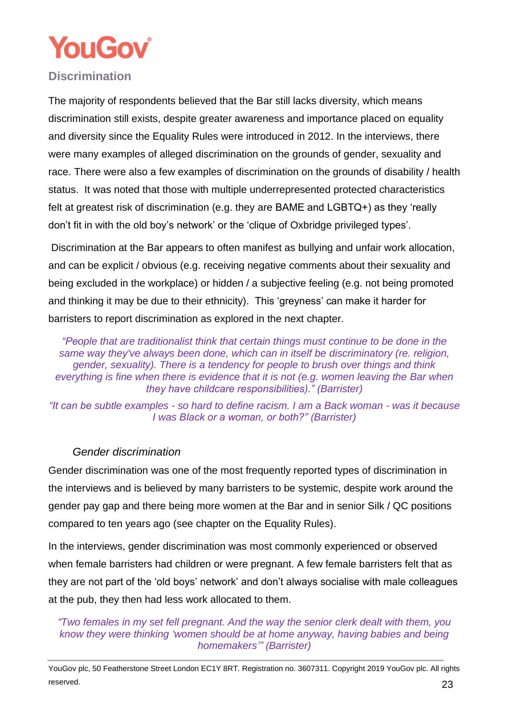

#### <span id="page-23-0"></span>**Discrimination**

The majority of respondents believed that the Bar still lacks diversity, which means discrimination still exists, despite greater awareness and importance placed on equality and diversity since the Equality Rules were introduced in 2012. In the interviews, there were many examples of alleged discrimination on the grounds of gender, sexuality and race. There were also a few examples of discrimination on the grounds of disability / health status. It was noted that those with multiple underrepresented protected characteristics felt at greatest risk of discrimination (e.g. they are BAME and LGBTQ+) as they 'really don't fit in with the old boy's network' or the 'clique of Oxbridge privileged types'.

Discrimination at the Bar appears to often manifest as bullying and unfair work allocation, and can be explicit / obvious (e.g. receiving negative comments about their sexuality and being excluded in the workplace) or hidden / a subjective feeling (e.g. not being promoted and thinking it may be due to their ethnicity). This 'greyness' can make it harder for barristers to report discrimination as explored in the next chapter.

*"People that are traditionalist think that certain things must continue to be done in the same way they've always been done, which can in itself be discriminatory (re. religion, gender, sexuality). There is a tendency for people to brush over things and think everything is fine when there is evidence that it is not (e.g. women leaving the Bar when they have childcare responsibilities)." (Barrister)*

*"It can be subtle examples - so hard to define racism. I am a Back woman - was it because I was Black or a woman, or both?" (Barrister)*

#### *Gender discrimination*

Gender discrimination was one of the most frequently reported types of discrimination in the interviews and is believed by many barristers to be systemic, despite work around the gender pay gap and there being more women at the Bar and in senior Silk / QC positions compared to ten years ago (see chapter on the Equality Rules).

In the interviews, gender discrimination was most commonly experienced or observed when female barristers had children or were pregnant. A few female barristers felt that as they are not part of the 'old boys' network' and don't always socialise with male colleagues at the pub, they then had less work allocated to them.

*"Two females in my set fell pregnant. And the way the senior clerk dealt with them, you know they were thinking 'women should be at home anyway, having babies and being homemakers'" (Barrister)*

YouGov plc, 50 Featherstone Street London EC1Y 8RT. Registration no. 3607311. Copyright 2019 YouGov plc. All rights reserved.  $23$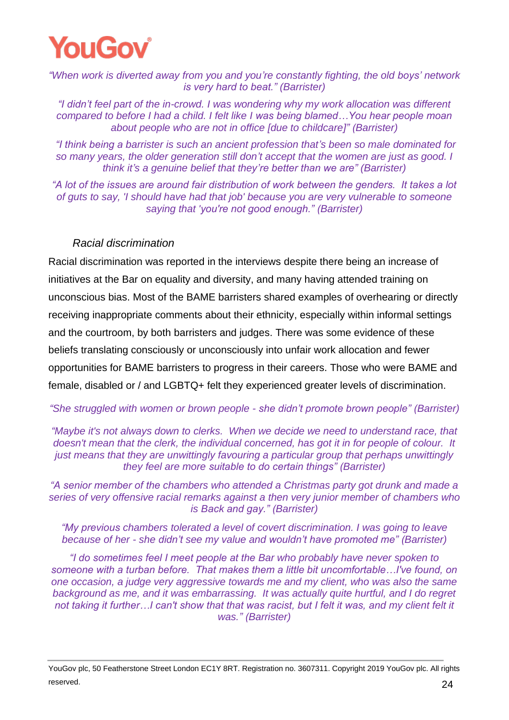

*"When work is diverted away from you and you're constantly fighting, the old boys' network is very hard to beat." (Barrister)*

*"I didn't feel part of the in-crowd. I was wondering why my work allocation was different compared to before I had a child. I felt like I was being blamed…You hear people moan about people who are not in office [due to childcare]" (Barrister)*

*"I think being a barrister is such an ancient profession that's been so male dominated for so many years, the older generation still don't accept that the women are just as good. I think it's a genuine belief that they're better than we are" (Barrister)*

*"A lot of the issues are around fair distribution of work between the genders. It takes a lot of guts to say, 'I should have had that job' because you are very vulnerable to someone saying that 'you're not good enough." (Barrister)*

#### *Racial discrimination*

Racial discrimination was reported in the interviews despite there being an increase of initiatives at the Bar on equality and diversity, and many having attended training on unconscious bias. Most of the BAME barristers shared examples of overhearing or directly receiving inappropriate comments about their ethnicity, especially within informal settings and the courtroom, by both barristers and judges. There was some evidence of these beliefs translating consciously or unconsciously into unfair work allocation and fewer opportunities for BAME barristers to progress in their careers. Those who were BAME and female, disabled or / and LGBTQ+ felt they experienced greater levels of discrimination.

*"She struggled with women or brown people - she didn't promote brown people" (Barrister)*

*"Maybe it's not always down to clerks. When we decide we need to understand race, that doesn't mean that the clerk, the individual concerned, has got it in for people of colour. It just means that they are unwittingly favouring a particular group that perhaps unwittingly they feel are more suitable to do certain things" (Barrister)*

*"A senior member of the chambers who attended a Christmas party got drunk and made a series of very offensive racial remarks against a then very junior member of chambers who is Back and gay." (Barrister)*

*"My previous chambers tolerated a level of covert discrimination. I was going to leave because of her - she didn't see my value and wouldn't have promoted me" (Barrister)*

*"I do sometimes feel I meet people at the Bar who probably have never spoken to someone with a turban before. That makes them a little bit uncomfortable…I've found, on one occasion, a judge very aggressive towards me and my client, who was also the same background as me, and it was embarrassing. It was actually quite hurtful, and I do regret not taking it further…I can't show that that was racist, but I felt it was, and my client felt it was." (Barrister)*

YouGov plc, 50 Featherstone Street London EC1Y 8RT. Registration no. 3607311. Copyright 2019 YouGov plc. All rights reserved.  $24$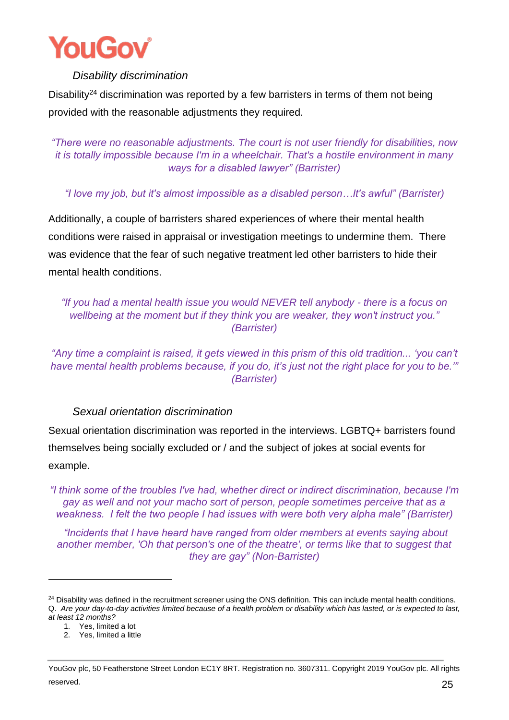

#### *Disability discrimination*

Disability<sup>24</sup> discrimination was reported by a few barristers in terms of them not being provided with the reasonable adjustments they required.

*"There were no reasonable adjustments. The court is not user friendly for disabilities, now it is totally impossible because I'm in a wheelchair. That's a hostile environment in many ways for a disabled lawyer" (Barrister)*

*"I love my job, but it's almost impossible as a disabled person…It's awful" (Barrister)*

Additionally, a couple of barristers shared experiences of where their mental health conditions were raised in appraisal or investigation meetings to undermine them. There was evidence that the fear of such negative treatment led other barristers to hide their mental health conditions.

*"If you had a mental health issue you would NEVER tell anybody - there is a focus on wellbeing at the moment but if they think you are weaker, they won't instruct you." (Barrister)*

*"Any time a complaint is raised, it gets viewed in this prism of this old tradition... 'you can't have mental health problems because, if you do, it's just not the right place for you to be.'" (Barrister)*

*Sexual orientation discrimination* 

Sexual orientation discrimination was reported in the interviews. LGBTQ+ barristers found themselves being socially excluded or / and the subject of jokes at social events for example.

*"I think some of the troubles I've had, whether direct or indirect discrimination, because I'm gay as well and not your macho sort of person, people sometimes perceive that as a weakness. I felt the two people I had issues with were both very alpha male" (Barrister)*

*"Incidents that I have heard have ranged from older members at events saying about another member, 'Oh that person's one of the theatre', or terms like that to suggest that they are gay" (Non-Barrister)*

<sup>&</sup>lt;sup>24</sup> Disability was defined in the recruitment screener using the ONS definition. This can include mental health conditions. Q. *Are your day-to-day activities limited because of a health problem or disability which has lasted, or is expected to last, at least 12 months?*

<sup>1.</sup> Yes, limited a lot

<sup>2.</sup> Yes, limited a little

YouGov plc, 50 Featherstone Street London EC1Y 8RT. Registration no. 3607311. Copyright 2019 YouGov plc. All rights reserved.  $25$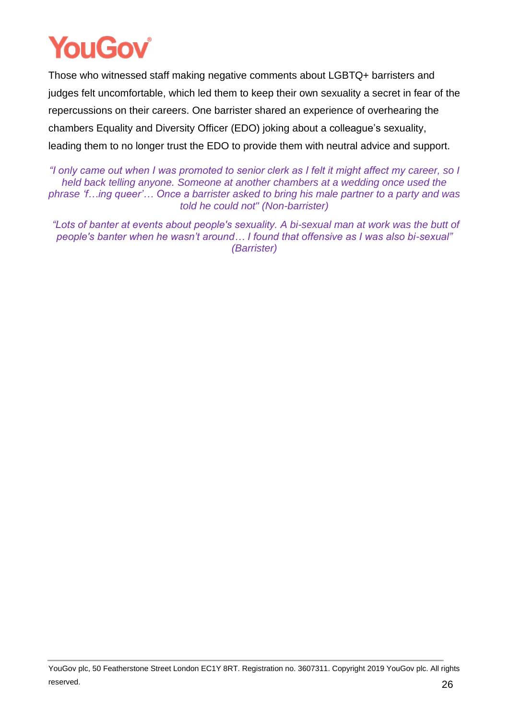Those who witnessed staff making negative comments about LGBTQ+ barristers and judges felt uncomfortable, which led them to keep their own sexuality a secret in fear of the repercussions on their careers. One barrister shared an experience of overhearing the chambers Equality and Diversity Officer (EDO) joking about a colleague's sexuality, leading them to no longer trust the EDO to provide them with neutral advice and support.

*"I only came out when I was promoted to senior clerk as I felt it might affect my career, so I held back telling anyone. Someone at another chambers at a wedding once used the phrase 'f…ing queer'… Once a barrister asked to bring his male partner to a party and was told he could not" (Non-barrister)*

*"Lots of banter at events about people's sexuality. A bi-sexual man at work was the butt of people's banter when he wasn't around… I found that offensive as I was also bi-sexual" (Barrister)*

YouGov plc, 50 Featherstone Street London EC1Y 8RT. Registration no. 3607311. Copyright 2019 YouGov plc. All rights reserved.  $26$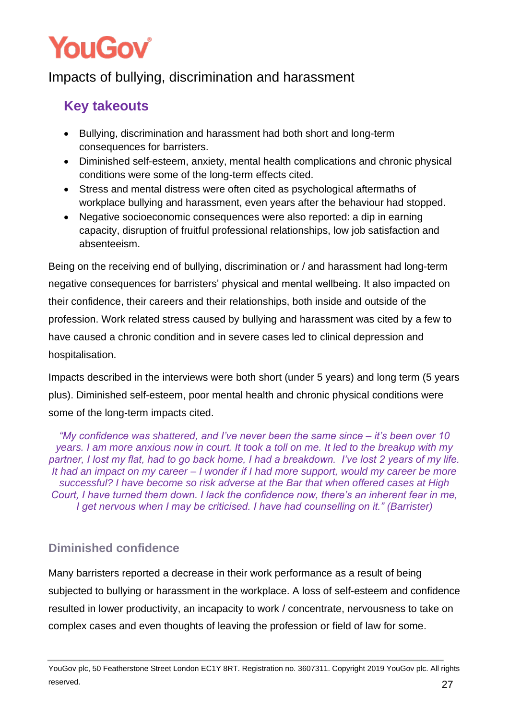## <span id="page-27-0"></span>Impacts of bullying, discrimination and harassment

## **Key takeouts**

- Bullying, discrimination and harassment had both short and long-term consequences for barristers.
- Diminished self-esteem, anxiety, mental health complications and chronic physical conditions were some of the long-term effects cited.
- Stress and mental distress were often cited as psychological aftermaths of workplace bullying and harassment, even years after the behaviour had stopped.
- Negative socioeconomic consequences were also reported: a dip in earning capacity, disruption of fruitful professional relationships, low job satisfaction and absenteeism.

Being on the receiving end of bullying, discrimination or / and harassment had long-term negative consequences for barristers' physical and mental wellbeing. It also impacted on their confidence, their careers and their relationships, both inside and outside of the profession. Work related stress caused by bullying and harassment was cited by a few to have caused a chronic condition and in severe cases led to clinical depression and hospitalisation.

Impacts described in the interviews were both short (under 5 years) and long term (5 years plus). Diminished self-esteem, poor mental health and chronic physical conditions were some of the long-term impacts cited.

*"My confidence was shattered, and I've never been the same since – it's been over 10 years. I am more anxious now in court. It took a toll on me. It led to the breakup with my partner, I lost my flat, had to go back home, I had a breakdown. I've lost 2 years of my life. It had an impact on my career – I wonder if I had more support, would my career be more successful? I have become so risk adverse at the Bar that when offered cases at High Court, I have turned them down. I lack the confidence now, there's an inherent fear in me, I get nervous when I may be criticised. I have had counselling on it." (Barrister)*

### <span id="page-27-1"></span>**Diminished confidence**

Many barristers reported a decrease in their work performance as a result of being subjected to bullying or harassment in the workplace. A loss of self-esteem and confidence resulted in lower productivity, an incapacity to work / concentrate, nervousness to take on complex cases and even thoughts of leaving the profession or field of law for some.

YouGov plc, 50 Featherstone Street London EC1Y 8RT. Registration no. 3607311. Copyright 2019 YouGov plc. All rights reserved.  $27$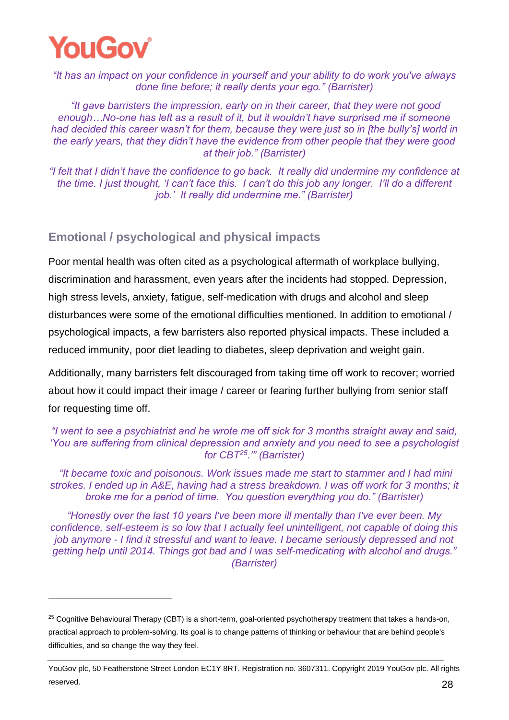

*"It has an impact on your confidence in yourself and your ability to do work you've always done fine before; it really dents your ego." (Barrister)*

*"It gave barristers the impression, early on in their career, that they were not good enough…No-one has left as a result of it, but it wouldn't have surprised me if someone had decided this career wasn't for them, because they were just so in [the bully's] world in the early years, that they didn't have the evidence from other people that they were good at their job." (Barrister)*

*"I felt that I didn't have the confidence to go back. It really did undermine my confidence at the time. I just thought, 'I can't face this. I can't do this job any longer. I'll do a different job.' It really did undermine me." (Barrister)*

#### <span id="page-28-0"></span>**Emotional / psychological and physical impacts**

Poor mental health was often cited as a psychological aftermath of workplace bullying, discrimination and harassment, even years after the incidents had stopped. Depression, high stress levels, anxiety, fatigue, self-medication with drugs and alcohol and sleep disturbances were some of the emotional difficulties mentioned. In addition to emotional / psychological impacts, a few barristers also reported physical impacts. These included a reduced immunity, poor diet leading to diabetes, sleep deprivation and weight gain.

Additionally, many barristers felt discouraged from taking time off work to recover; worried about how it could impact their image / career or fearing further bullying from senior staff for requesting time off.

*"I went to see a psychiatrist and he wrote me off sick for 3 months straight away and said, 'You are suffering from clinical depression and anxiety and you need to see a psychologist for CBT<sup>25</sup>.'" (Barrister)*

*"It became toxic and poisonous. Work issues made me start to stammer and I had mini strokes. I ended up in A&E, having had a stress breakdown. I was off work for 3 months; it broke me for a period of time. You question everything you do." (Barrister)*

*"Honestly over the last 10 years I've been more ill mentally than I've ever been. My confidence, self-esteem is so low that I actually feel unintelligent, not capable of doing this job anymore - I find it stressful and want to leave. I became seriously depressed and not getting help until 2014. Things got bad and I was self-medicating with alcohol and drugs." (Barrister)*

<sup>&</sup>lt;sup>25</sup> Cognitive Behavioural Therapy (CBT) is a short-term, goal-oriented psychotherapy treatment that takes a hands-on, practical approach to problem-solving. Its goal is to change patterns of thinking or behaviour that are behind people's difficulties, and so change the way they feel.

YouGov plc, 50 Featherstone Street London EC1Y 8RT. Registration no. 3607311. Copyright 2019 YouGov plc. All rights reserved. 28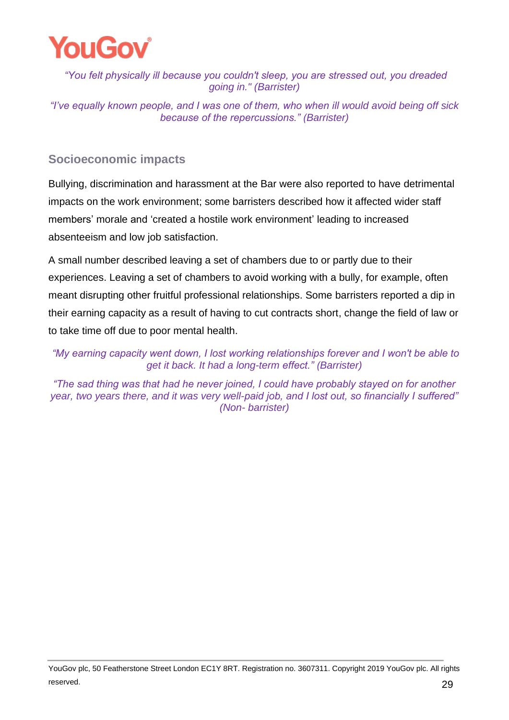

*"You felt physically ill because you couldn't sleep, you are stressed out, you dreaded going in." (Barrister)*

*"I've equally known people, and I was one of them, who when ill would avoid being off sick because of the repercussions." (Barrister)*

#### <span id="page-29-0"></span>**Socioeconomic impacts**

Bullying, discrimination and harassment at the Bar were also reported to have detrimental impacts on the work environment; some barristers described how it affected wider staff members' morale and 'created a hostile work environment' leading to increased absenteeism and low job satisfaction.

A small number described leaving a set of chambers due to or partly due to their experiences. Leaving a set of chambers to avoid working with a bully, for example, often meant disrupting other fruitful professional relationships. Some barristers reported a dip in their earning capacity as a result of having to cut contracts short, change the field of law or to take time off due to poor mental health.

*"My earning capacity went down, I lost working relationships forever and I won't be able to get it back. It had a long-term effect." (Barrister)*

*"The sad thing was that had he never joined, I could have probably stayed on for another year, two years there, and it was very well-paid job, and I lost out, so financially I suffered" (Non- barrister)* 

YouGov plc, 50 Featherstone Street London EC1Y 8RT. Registration no. 3607311. Copyright 2019 YouGov plc. All rights reserved. 29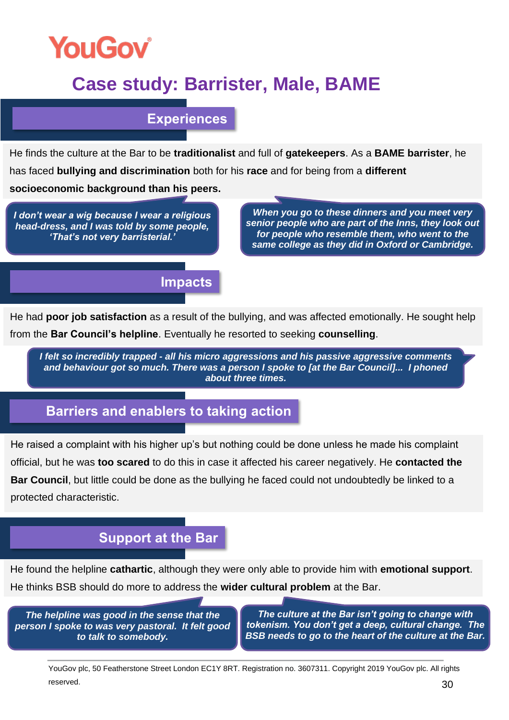

# **Case study: Barrister, Male, BAME**

**Experiences** 

He finds the culture at the Bar to be **traditionalist** and full of **gatekeepers**. As a **BAME barrister**, he has faced **bullying and discrimination** both for his **race** and for being from a **different** 

**socioeconomic background than his peers.**

*I don't wear a wig because I wear a religious head-dress, and I was told by some people, 'That's not very barristerial.'* 

*When you go to these dinners and you meet very senior people who are part of the Inns, they look out for people who resemble them, who went to the same college as they did in Oxford or Cambridge.*

**Impacts**

He had **poor job satisfaction** as a result of the bullying, and was affected emotionally. He sought help from the **Bar Council's helpline**. Eventually he resorted to seeking **counselling**.

*I felt so incredibly trapped - all his micro aggressions and his passive aggressive comments and behaviour got so much. There was a person I spoke to [at the Bar Council]... I phoned about three times.*

### **Barriers and enablers to taking action**

He raised a complaint with his higher up's but nothing could be done unless he made his complaint official, but he was **too scared** to do this in case it affected his career negatively. He **contacted the Bar Council**, but little could be done as the bullying he faced could not undoubtedly be linked to a protected characteristic.

### **Support at the Bar**

He found the helpline **cathartic**, although they were only able to provide him with **emotional support**. He thinks BSB should do more to address the **wider cultural problem** at the Bar.

*The helpline was good in the sense that the person I spoke to was very pastoral. It felt good to talk to somebody.*

*The culture at the Bar isn't going to change with tokenism. You don't get a deep, cultural change. The BSB needs to go to the heart of the culture at the Bar.*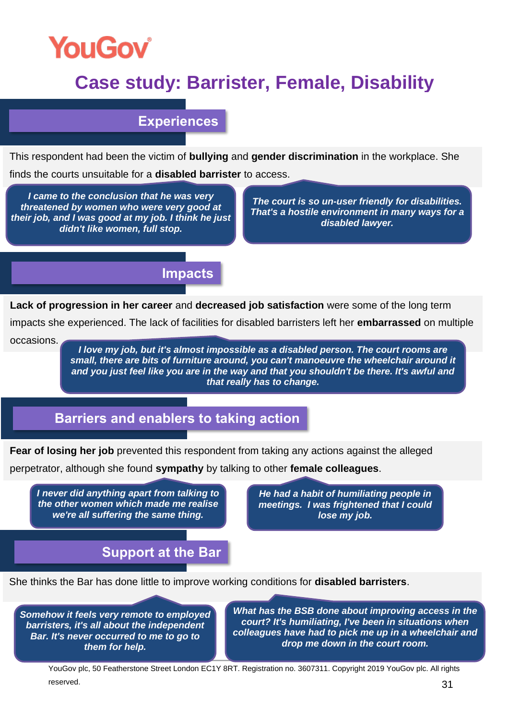

## **Case study: Barrister, Female, Disability**

#### **Experiences**

This respondent had been the victim of **bullying** and **gender discrimination** in the workplace. She finds the courts unsuitable for a **disabled barrister** to access.

*I came to the conclusion that he was very threatened by women who were very good at their job, and I was good at my job. I think he just didn't like women, full stop.*

*The court is so un-user friendly for disabilities. That's a hostile environment in many ways for a disabled lawyer.*

#### **Impacts**

**Lack of progression in her career** and **decreased job satisfaction** were some of the long term

impacts she experienced. The lack of facilities for disabled barristers left her **embarrassed** on multiple occasions.

*I love my job, but it's almost impossible as a disabled person. The court rooms are small, there are bits of furniture around, you can't manoeuvre the wheelchair around it and you just feel like you are in the way and that you shouldn't be there. It's awful and that really has to change.*

### **Barriers and enablers to taking action**

**Fear of losing her job** prevented this respondent from taking any actions against the alleged

perpetrator, although she found **sympathy** by talking to other **female colleagues**.

*I never did anything apart from talking to the other women which made me realise we're all suffering the same thing.* 

*He had a habit of humiliating people in meetings. I was frightened that I could lose my job.*

*.* 

### **Support at the Bar**

She thinks the Bar has done little to improve working conditions for **disabled barristers**.

*Somehow it feels very remote to employed barristers, it's all about the independent Bar. It's never occurred to me to go to them for help.*

*What has the BSB done about improving access in the court? It's humiliating, I've been in situations when colleagues have had to pick me up in a wheelchair and drop me down in the court room.*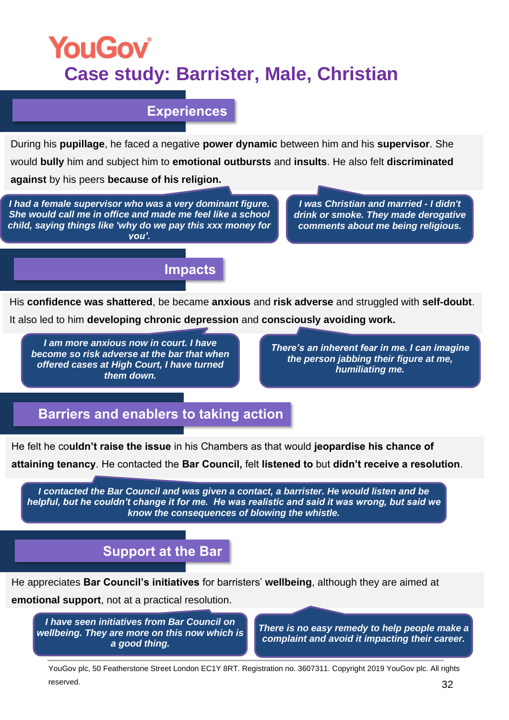# **YouGov Case study: Barrister, Male, Christian**

#### **Experiences**

During his **pupillage**, he faced a negative **power dynamic** between him and his **supervisor**. She would **bully** him and subject him to **emotional outbursts** and **insults**. He also felt **discriminated against** by his peers **because of his religion.** 

*I had a female supervisor who was a very dominant figure. She would call me in office and made me feel like a school child, saying things like 'why do we pay this xxx money for you'.*

*.*

*I was Christian and married - I didn't drink or smoke. They made derogative comments about me being religious.*

### **Impacts**

His **confidence was shattered**, be became **anxious** and **risk adverse** and struggled with **self-doubt**.

It also led to him **developing chronic depression** and **consciously avoiding work.**

*I am more anxious now in court. I have become so risk adverse at the bar that when offered cases at High Court, I have turned them down.*

*There's an inherent fear in me. I can imagine the person jabbing their figure at me, humiliating me.*

### **Barriers and enablers to taking action**

He felt he co**uldn't raise the issue** in his Chambers as that would **jeopardise his chance of attaining tenancy**. He contacted the **Bar Council,** felt **listened to** but **didn't receive a resolution**.

*I contacted the Bar Council and was given a contact, a barrister. He would listen and be helpful, but he couldn't change it for me. He was realistic and said it was wrong, but said we know the consequences of blowing the whistle.* 

### **Support at the Bar**

He appreciates **Bar Council's initiatives** for barristers' **wellbeing**, although they are aimed at

**emotional support**, not at a practical resolution.

*I have seen initiatives from Bar Council on wellbeing. They are more on this now which is a good thing.*

*There is no easy remedy to help people make a complaint and avoid it impacting their career.*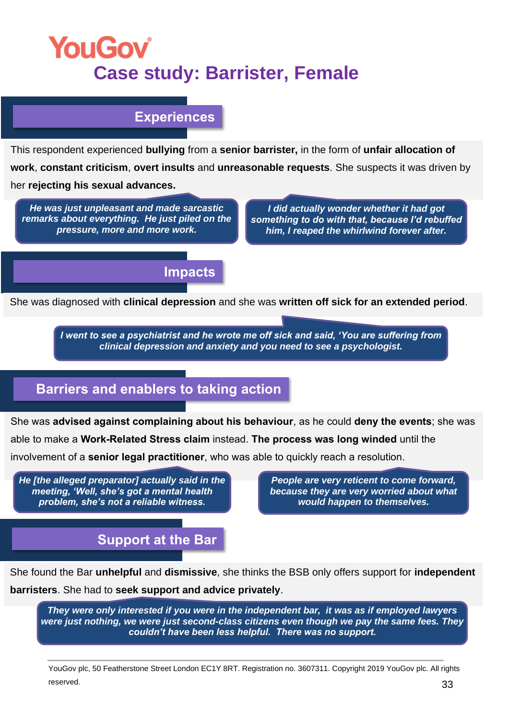# **YouGov Case study: Barrister, Female**

### **Experiences**

This respondent experienced **bullying** from a **senior barrister,** in the form of **unfair allocation of work**, **constant criticism**, **overt insults** and **unreasonable requests**. She suspects it was driven by her **rejecting his sexual advances.**

*He was just unpleasant and made sarcastic remarks about everything. He just piled on the pressure, more and more work.*

*I did actually wonder whether it had got something to do with that, because I'd rebuffed him, I reaped the whirlwind forever after.*

#### **Impacts**

She was diagnosed with **clinical depression** and she was **written off sick for an extended period**.

*I went to see a psychiatrist and he wrote me off sick and said, 'You are suffering from clinical depression and anxiety and you need to see a psychologist.*

### **Barriers and enablers to taking action**

She was **advised against complaining about his behaviour**, as he could **deny the events**; she was

able to make a **Work-Related Stress claim** instead. **The process was long winded** until the

involvement of a **senior legal practitioner**, who was able to quickly reach a resolution.

*He [the alleged preparator] actually said in the meeting, 'Well, she's got a mental health problem, she's not a reliable witness.* 

*People are very reticent to come forward, because they are very worried about what would happen to themselves.*

**Support at the Bar**

She found the Bar **unhelpful** and **dismissive**, she thinks the BSB only offers support for **independent barristers**. She had to **seek support and advice privately**.

*They were only interested if you were in the independent bar, it was as if employed lawyers were just nothing, we were just second-class citizens even though we pay the same fees. They couldn't have been less helpful. There was no support.*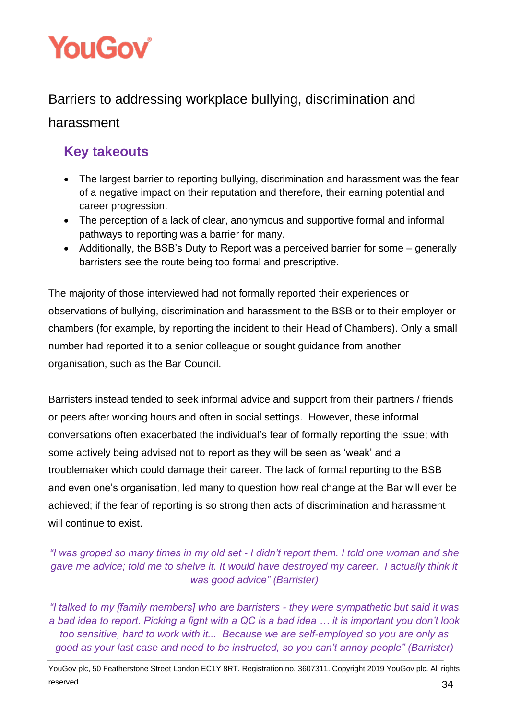

### <span id="page-34-0"></span>Barriers to addressing workplace bullying, discrimination and

### harassment

### **Key takeouts**

- The largest barrier to reporting bullying, discrimination and harassment was the fear of a negative impact on their reputation and therefore, their earning potential and career progression.
- The perception of a lack of clear, anonymous and supportive formal and informal pathways to reporting was a barrier for many.
- Additionally, the BSB's Duty to Report was a perceived barrier for some generally barristers see the route being too formal and prescriptive.

The majority of those interviewed had not formally reported their experiences or observations of bullying, discrimination and harassment to the BSB or to their employer or chambers (for example, by reporting the incident to their Head of Chambers). Only a small number had reported it to a senior colleague or sought guidance from another organisation, such as the Bar Council.

Barristers instead tended to seek informal advice and support from their partners / friends or peers after working hours and often in social settings. However, these informal conversations often exacerbated the individual's fear of formally reporting the issue; with some actively being advised not to report as they will be seen as 'weak' and a troublemaker which could damage their career. The lack of formal reporting to the BSB and even one's organisation, led many to question how real change at the Bar will ever be achieved; if the fear of reporting is so strong then acts of discrimination and harassment will continue to exist.

#### *"I was groped so many times in my old set - I didn't report them. I told one woman and she gave me advice; told me to shelve it. It would have destroyed my career. I actually think it was good advice" (Barrister)*

*"I talked to my [family members] who are barristers - they were sympathetic but said it was a bad idea to report. Picking a fight with a QC is a bad idea … it is important you don't look too sensitive, hard to work with it... Because we are self-employed so you are only as good as your last case and need to be instructed, so you can't annoy people" (Barrister)*

YouGov plc, 50 Featherstone Street London EC1Y 8RT. Registration no. 3607311. Copyright 2019 YouGov plc. All rights reserved.  $34$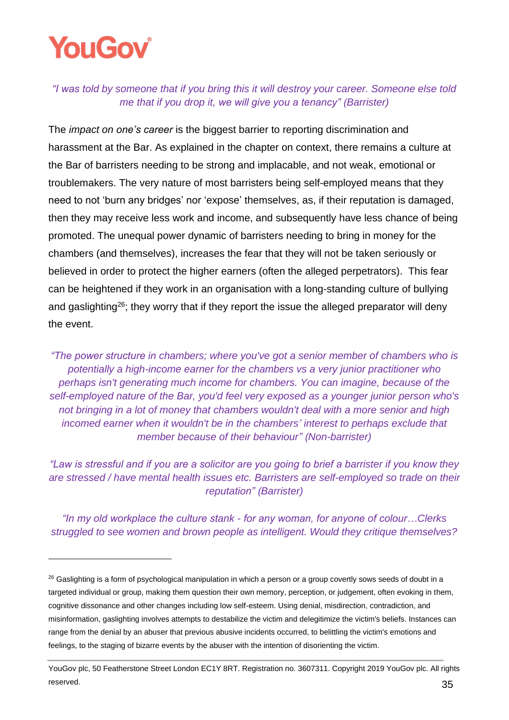# **YouGoy**

*"I was told by someone that if you bring this it will destroy your career. Someone else told me that if you drop it, we will give you a tenancy" (Barrister)* 

The *impact on one's career* is the biggest barrier to reporting discrimination and harassment at the Bar. As explained in the chapter on context, there remains a culture at the Bar of barristers needing to be strong and implacable, and not weak, emotional or troublemakers. The very nature of most barristers being self-employed means that they need to not 'burn any bridges' nor 'expose' themselves, as, if their reputation is damaged, then they may receive less work and income, and subsequently have less chance of being promoted. The unequal power dynamic of barristers needing to bring in money for the chambers (and themselves), increases the fear that they will not be taken seriously or believed in order to protect the higher earners (often the alleged perpetrators). This fear can be heightened if they work in an organisation with a long-standing culture of bullying and gaslighting<sup>26</sup>; they worry that if they report the issue the alleged preparator will deny the event.

*"The power structure in chambers; where you've got a senior member of chambers who is potentially a high-income earner for the chambers vs a very junior practitioner who perhaps isn't generating much income for chambers. You can imagine, because of the self-employed nature of the Bar, you'd feel very exposed as a younger junior person who's not bringing in a lot of money that chambers wouldn't deal with a more senior and high incomed earner when it wouldn't be in the chambers' interest to perhaps exclude that member because of their behaviour" (Non-barrister)*

*"Law is stressful and if you are a solicitor are you going to brief a barrister if you know they are stressed / have mental health issues etc. Barristers are self-employed so trade on their reputation" (Barrister)*

*"In my old workplace the culture stank - for any woman, for anyone of colour…Clerks struggled to see women and brown people as intelligent. Would they critique themselves?* 

<sup>&</sup>lt;sup>26</sup> Gaslighting is a form of psychological manipulation in which a person or a group covertly sows seeds of doubt in a targeted individual or group, making them question their own memory, perception, or judgement, often evoking in them, cognitive dissonance and other changes including low self-esteem. Using denial, misdirection, contradiction, and misinformation, gaslighting involves attempts to destabilize the victim and delegitimize the victim's beliefs. Instances can range from the denial by an abuser that previous abusive incidents occurred, to belittling the victim's emotions and feelings, to the staging of bizarre events by the abuser with the intention of disorienting the victim.

YouGov plc, 50 Featherstone Street London EC1Y 8RT. Registration no. 3607311. Copyright 2019 YouGov plc. All rights reserved. 25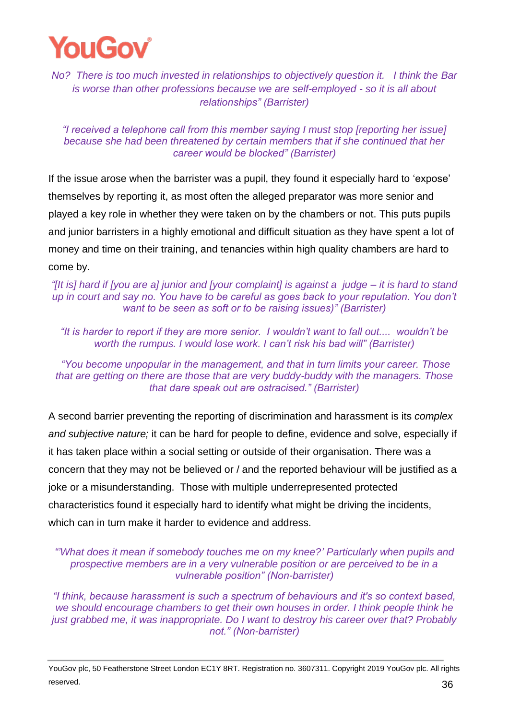

*No? There is too much invested in relationships to objectively question it. I think the Bar is worse than other professions because we are self-employed - so it is all about relationships" (Barrister)*

#### *"I received a telephone call from this member saying I must stop [reporting her issue] because she had been threatened by certain members that if she continued that her career would be blocked" (Barrister)*

If the issue arose when the barrister was a pupil, they found it especially hard to 'expose' themselves by reporting it, as most often the alleged preparator was more senior and played a key role in whether they were taken on by the chambers or not. This puts pupils and junior barristers in a highly emotional and difficult situation as they have spent a lot of money and time on their training, and tenancies within high quality chambers are hard to come by.

*"[It is] hard if [you are a] junior and [your complaint] is against a judge – it is hard to stand up in court and say no. You have to be careful as goes back to your reputation. You don't want to be seen as soft or to be raising issues)" (Barrister)*

*"It is harder to report if they are more senior. I wouldn't want to fall out.... wouldn't be worth the rumpus. I would lose work. I can't risk his bad will" (Barrister)*

*"You become unpopular in the management, and that in turn limits your career. Those that are getting on there are those that are very buddy-buddy with the managers. Those that dare speak out are ostracised." (Barrister)* 

A second barrier preventing the reporting of discrimination and harassment is its *complex and subjective nature;* it can be hard for people to define, evidence and solve, especially if it has taken place within a social setting or outside of their organisation. There was a concern that they may not be believed or / and the reported behaviour will be justified as a joke or a misunderstanding. Those with multiple underrepresented protected characteristics found it especially hard to identify what might be driving the incidents, which can in turn make it harder to evidence and address.

*"'What does it mean if somebody touches me on my knee?' Particularly when pupils and prospective members are in a very vulnerable position or are perceived to be in a vulnerable position" (Non-barrister)*

*"I think, because harassment is such a spectrum of behaviours and it's so context based, we should encourage chambers to get their own houses in order. I think people think he just grabbed me, it was inappropriate. Do I want to destroy his career over that? Probably not." (Non-barrister)*

YouGov plc, 50 Featherstone Street London EC1Y 8RT. Registration no. 3607311. Copyright 2019 YouGov plc. All rights reserved. 36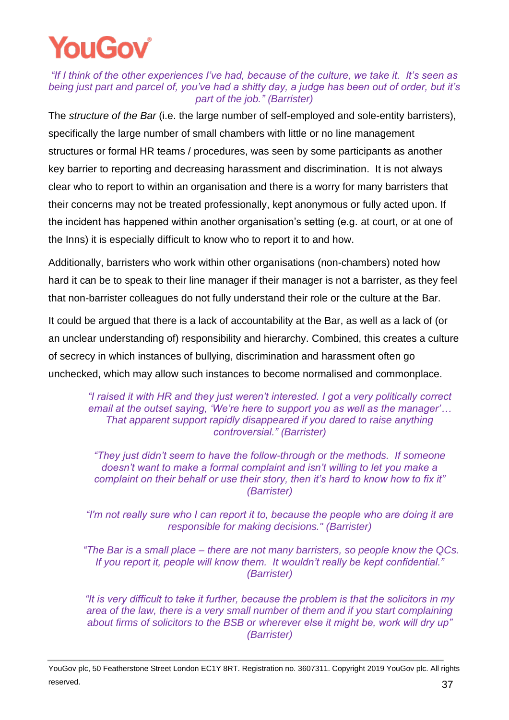#### *"If I think of the other experiences I've had, because of the culture, we take it. It's seen as being just part and parcel of, you've had a shitty day, a judge has been out of order, but it's part of the job." (Barrister)*

The *structure of the Bar* (i.e. the large number of self-employed and sole-entity barristers), specifically the large number of small chambers with little or no line management structures or formal HR teams / procedures, was seen by some participants as another key barrier to reporting and decreasing harassment and discrimination. It is not always clear who to report to within an organisation and there is a worry for many barristers that their concerns may not be treated professionally, kept anonymous or fully acted upon. If the incident has happened within another organisation's setting (e.g. at court, or at one of the Inns) it is especially difficult to know who to report it to and how.

Additionally, barristers who work within other organisations (non-chambers) noted how hard it can be to speak to their line manager if their manager is not a barrister, as they feel that non-barrister colleagues do not fully understand their role or the culture at the Bar.

It could be argued that there is a lack of accountability at the Bar, as well as a lack of (or an unclear understanding of) responsibility and hierarchy. Combined, this creates a culture of secrecy in which instances of bullying, discrimination and harassment often go unchecked, which may allow such instances to become normalised and commonplace.

*"I raised it with HR and they just weren't interested. I got a very politically correct email at the outset saying, 'We're here to support you as well as the manager'… That apparent support rapidly disappeared if you dared to raise anything controversial." (Barrister)*

*"They just didn't seem to have the follow-through or the methods. If someone doesn't want to make a formal complaint and isn't willing to let you make a complaint on their behalf or use their story, then it's hard to know how to fix it" (Barrister)*

*"I'm not really sure who I can report it to, because the people who are doing it are responsible for making decisions." (Barrister)*

*"The Bar is a small place – there are not many barristers, so people know the QCs. If you report it, people will know them. It wouldn't really be kept confidential." (Barrister)*

*"It is very difficult to take it further, because the problem is that the solicitors in my area of the law, there is a very small number of them and if you start complaining about firms of solicitors to the BSB or wherever else it might be, work will dry up" (Barrister)*

YouGov plc, 50 Featherstone Street London EC1Y 8RT. Registration no. 3607311. Copyright 2019 YouGov plc. All rights reserved.  $37$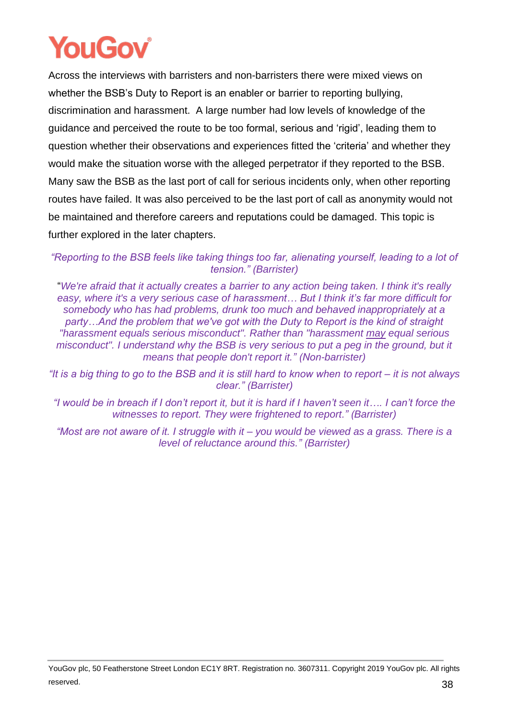Across the interviews with barristers and non-barristers there were mixed views on whether the BSB's Duty to Report is an enabler or barrier to reporting bullying, discrimination and harassment. A large number had low levels of knowledge of the guidance and perceived the route to be too formal, serious and 'rigid', leading them to question whether their observations and experiences fitted the 'criteria' and whether they would make the situation worse with the alleged perpetrator if they reported to the BSB. Many saw the BSB as the last port of call for serious incidents only, when other reporting routes have failed. It was also perceived to be the last port of call as anonymity would not be maintained and therefore careers and reputations could be damaged. This topic is further explored in the later chapters.

*"Reporting to the BSB feels like taking things too far, alienating yourself, leading to a lot of tension." (Barrister)*

"*We're afraid that it actually creates a barrier to any action being taken. I think it's really easy, where it's a very serious case of harassment… But I think it's far more difficult for somebody who has had problems, drunk too much and behaved inappropriately at a party…And the problem that we've got with the Duty to Report is the kind of straight "harassment equals serious misconduct". Rather than "harassment may equal serious misconduct". I understand why the BSB is very serious to put a peg in the ground, but it means that people don't report it." (Non-barrister)*

*"It is a big thing to go to the BSB and it is still hard to know when to report – it is not always clear." (Barrister)*

*"I would be in breach if I don't report it, but it is hard if I haven't seen it…. I can't force the witnesses to report. They were frightened to report." (Barrister)* 

*"Most are not aware of it. I struggle with it – you would be viewed as a grass. There is a level of reluctance around this." (Barrister)*

YouGov plc, 50 Featherstone Street London EC1Y 8RT. Registration no. 3607311. Copyright 2019 YouGov plc. All rights reserved. **38**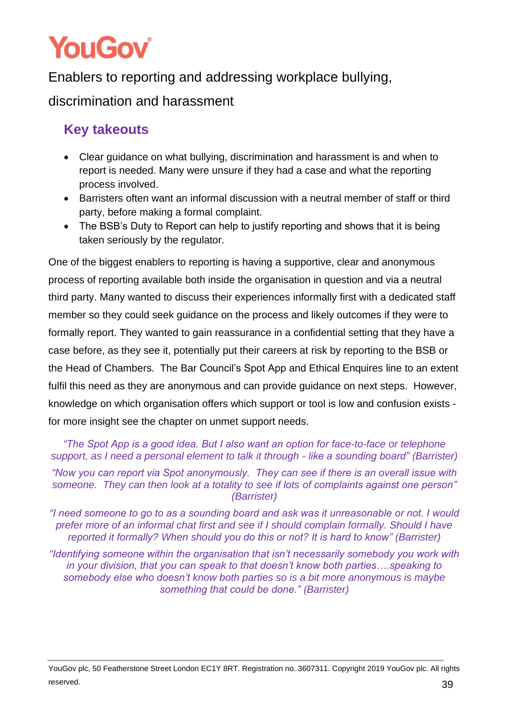<span id="page-39-0"></span>Enablers to reporting and addressing workplace bullying, discrimination and harassment

## **Key takeouts**

- Clear guidance on what bullying, discrimination and harassment is and when to report is needed. Many were unsure if they had a case and what the reporting process involved.
- Barristers often want an informal discussion with a neutral member of staff or third party, before making a formal complaint.
- The BSB's Duty to Report can help to justify reporting and shows that it is being taken seriously by the regulator.

One of the biggest enablers to reporting is having a supportive, clear and anonymous process of reporting available both inside the organisation in question and via a neutral third party. Many wanted to discuss their experiences informally first with a dedicated staff member so they could seek guidance on the process and likely outcomes if they were to formally report. They wanted to gain reassurance in a confidential setting that they have a case before, as they see it, potentially put their careers at risk by reporting to the BSB or the Head of Chambers. The Bar Council's Spot App and Ethical Enquires line to an extent fulfil this need as they are anonymous and can provide guidance on next steps. However, knowledge on which organisation offers which support or tool is low and confusion exists for more insight see the chapter on unmet support needs.

*"The Spot App is a good idea. But I also want an option for face-to-face or telephone support, as I need a personal element to talk it through - like a sounding board" (Barrister)*

*"Now you can report via Spot anonymously. They can see if there is an overall issue with someone. They can then look at a totality to see if lots of complaints against one person" (Barrister)*

*"I need someone to go to as a sounding board and ask was it unreasonable or not. I would prefer more of an informal chat first and see if I should complain formally. Should I have reported it formally? When should you do this or not? It is hard to know" (Barrister)*

*"Identifying someone within the organisation that isn't necessarily somebody you work with in your division, that you can speak to that doesn't know both parties….speaking to somebody else who doesn't know both parties so is a bit more anonymous is maybe something that could be done." (Barrister)*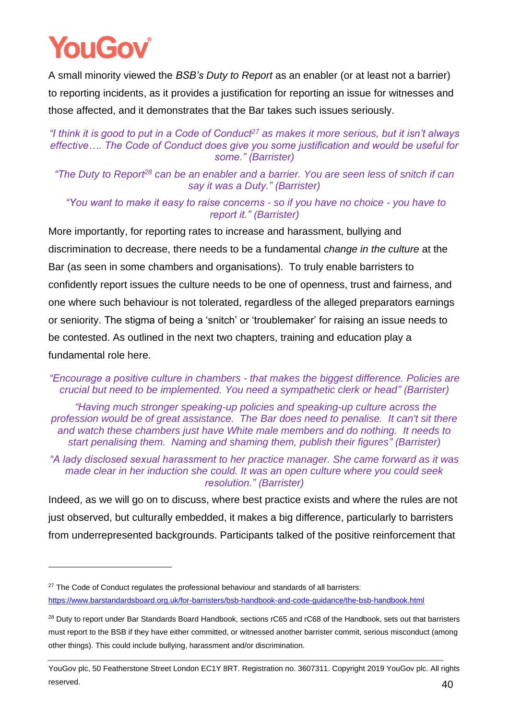A small minority viewed the *BSB's Duty to Report* as an enabler (or at least not a barrier) to reporting incidents, as it provides a justification for reporting an issue for witnesses and those affected, and it demonstrates that the Bar takes such issues seriously.

#### *"I think it is good to put in a Code of Conduct<sup>27</sup> as makes it more serious, but it isn't always effective…. The Code of Conduct does give you some justification and would be useful for some." (Barrister)*

*"The Duty to Report<sup>28</sup> can be an enabler and a barrier. You are seen less of snitch if can say it was a Duty." (Barrister)*

*"You want to make it easy to raise concerns - so if you have no choice - you have to report it." (Barrister)*

More importantly, for reporting rates to increase and harassment, bullying and discrimination to decrease, there needs to be a fundamental *change in the culture* at the Bar (as seen in some chambers and organisations). To truly enable barristers to confidently report issues the culture needs to be one of openness, trust and fairness, and one where such behaviour is not tolerated, regardless of the alleged preparators earnings or seniority. The stigma of being a 'snitch' or 'troublemaker' for raising an issue needs to be contested. As outlined in the next two chapters, training and education play a fundamental role here.

*"Encourage a positive culture in chambers - that makes the biggest difference. Policies are crucial but need to be implemented. You need a sympathetic clerk or head" (Barrister)*

*"Having much stronger speaking-up policies and speaking-up culture across the profession would be of great assistance. The Bar does need to penalise. It can't sit there and watch these chambers just have White male members and do nothing. It needs to start penalising them. Naming and shaming them, publish their figures" (Barrister)*

*"A lady disclosed sexual harassment to her practice manager. She came forward as it was made clear in her induction she could. It was an open culture where you could seek resolution." (Barrister)*

Indeed, as we will go on to discuss, where best practice exists and where the rules are not just observed, but culturally embedded, it makes a big difference, particularly to barristers from underrepresented backgrounds. Participants talked of the positive reinforcement that

<sup>&</sup>lt;sup>27</sup> The Code of Conduct regulates the professional behaviour and standards of all barristers: <https://www.barstandardsboard.org.uk/for-barristers/bsb-handbook-and-code-guidance/the-bsb-handbook.html>

<sup>&</sup>lt;sup>28</sup> Duty to report under Bar Standards Board Handbook, sections rC65 and rC68 of the Handbook, sets out that barristers must report to the BSB if they have either committed, or witnessed another barrister commit, serious misconduct (among other things). This could include bullying, harassment and/or discrimination.

YouGov plc, 50 Featherstone Street London EC1Y 8RT. Registration no. 3607311. Copyright 2019 YouGov plc. All rights reserved.  $40$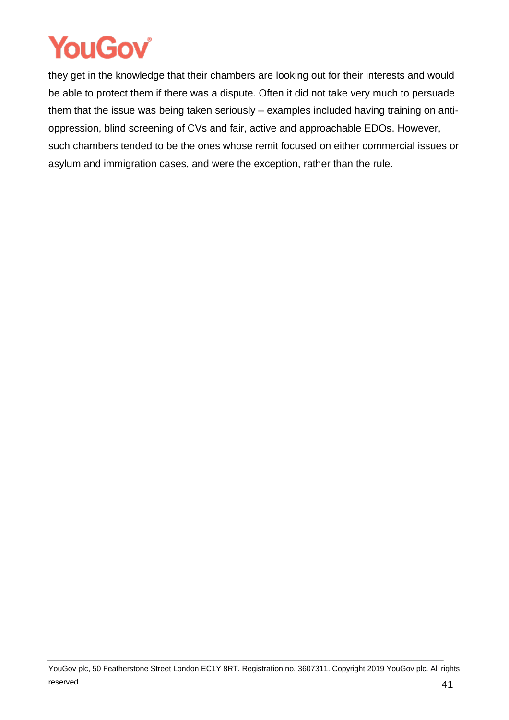they get in the knowledge that their chambers are looking out for their interests and would be able to protect them if there was a dispute. Often it did not take very much to persuade them that the issue was being taken seriously – examples included having training on antioppression, blind screening of CVs and fair, active and approachable EDOs. However, such chambers tended to be the ones whose remit focused on either commercial issues or asylum and immigration cases, and were the exception, rather than the rule.

YouGov plc, 50 Featherstone Street London EC1Y 8RT. Registration no. 3607311. Copyright 2019 YouGov plc. All rights reserved.  $41$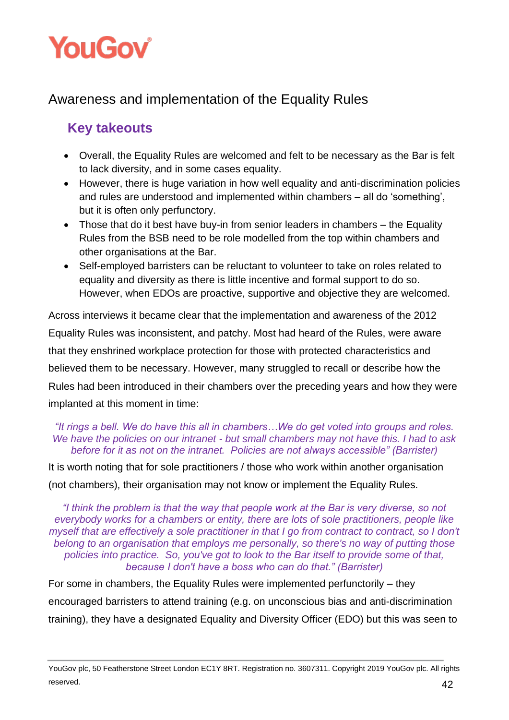

### <span id="page-42-0"></span>Awareness and implementation of the Equality Rules

### **Key takeouts**

- Overall, the Equality Rules are welcomed and felt to be necessary as the Bar is felt to lack diversity, and in some cases equality.
- However, there is huge variation in how well equality and anti-discrimination policies and rules are understood and implemented within chambers – all do 'something', but it is often only perfunctory.
- Those that do it best have buy-in from senior leaders in chambers the Equality Rules from the BSB need to be role modelled from the top within chambers and other organisations at the Bar.
- Self-employed barristers can be reluctant to volunteer to take on roles related to equality and diversity as there is little incentive and formal support to do so. However, when EDOs are proactive, supportive and objective they are welcomed.

Across interviews it became clear that the implementation and awareness of the 2012 Equality Rules was inconsistent, and patchy. Most had heard of the Rules, were aware that they enshrined workplace protection for those with protected characteristics and believed them to be necessary. However, many struggled to recall or describe how the Rules had been introduced in their chambers over the preceding years and how they were implanted at this moment in time:

#### *"It rings a bell. We do have this all in chambers…We do get voted into groups and roles. We have the policies on our intranet - but small chambers may not have this. I had to ask before for it as not on the intranet. Policies are not always accessible" (Barrister)*

It is worth noting that for sole practitioners / those who work within another organisation (not chambers), their organisation may not know or implement the Equality Rules.

*"I think the problem is that the way that people work at the Bar is very diverse, so not everybody works for a chambers or entity, there are lots of sole practitioners, people like myself that are effectively a sole practitioner in that I go from contract to contract, so I don't belong to an organisation that employs me personally, so there's no way of putting those policies into practice. So, you've got to look to the Bar itself to provide some of that, because I don't have a boss who can do that." (Barrister)*

For some in chambers, the Equality Rules were implemented perfunctorily – they encouraged barristers to attend training (e.g. on unconscious bias and anti-discrimination training), they have a designated Equality and Diversity Officer (EDO) but this was seen to

YouGov plc, 50 Featherstone Street London EC1Y 8RT. Registration no. 3607311. Copyright 2019 YouGov plc. All rights reserved.  $42$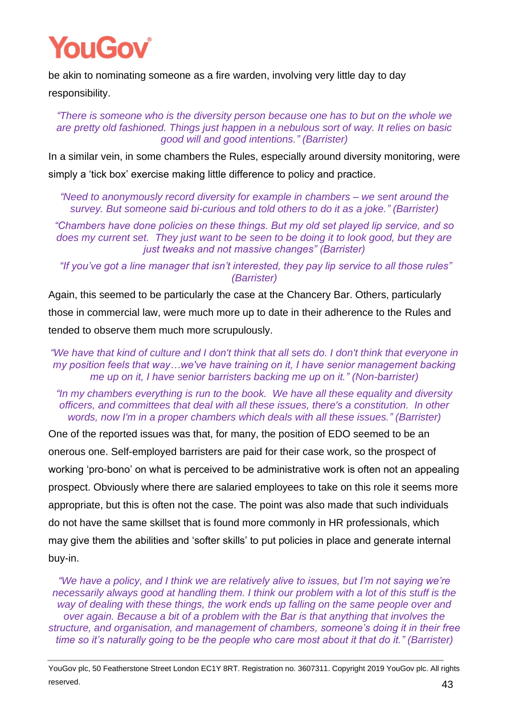be akin to nominating someone as a fire warden, involving very little day to day

responsibility.

*"There is someone who is the diversity person because one has to but on the whole we are pretty old fashioned. Things just happen in a nebulous sort of way. It relies on basic good will and good intentions." (Barrister)*

In a similar vein, in some chambers the Rules, especially around diversity monitoring, were simply a 'tick box' exercise making little difference to policy and practice.

*"Need to anonymously record diversity for example in chambers – we sent around the survey. But someone said bi-curious and told others to do it as a joke." (Barrister)*

*"Chambers have done policies on these things. But my old set played lip service, and so does my current set. They just want to be seen to be doing it to look good, but they are just tweaks and not massive changes" (Barrister)*

*"If you've got a line manager that isn't interested, they pay lip service to all those rules" (Barrister)*

Again, this seemed to be particularly the case at the Chancery Bar. Others, particularly those in commercial law, were much more up to date in their adherence to the Rules and tended to observe them much more scrupulously.

*"We have that kind of culture and I don't think that all sets do. I don't think that everyone in my position feels that way…we've have training on it, I have senior management backing me up on it, I have senior barristers backing me up on it." (Non-barrister)*

*"In my chambers everything is run to the book. We have all these equality and diversity officers, and committees that deal with all these issues, there's a constitution. In other words, now I'm in a proper chambers which deals with all these issues." (Barrister)*

One of the reported issues was that, for many, the position of EDO seemed to be an onerous one. Self-employed barristers are paid for their case work, so the prospect of working 'pro-bono' on what is perceived to be administrative work is often not an appealing prospect. Obviously where there are salaried employees to take on this role it seems more appropriate, but this is often not the case. The point was also made that such individuals do not have the same skillset that is found more commonly in HR professionals, which may give them the abilities and 'softer skills' to put policies in place and generate internal buy-in.

*"We have a policy, and I think we are relatively alive to issues, but I'm not saying we're necessarily always good at handling them. I think our problem with a lot of this stuff is the way of dealing with these things, the work ends up falling on the same people over and over again. Because a bit of a problem with the Bar is that anything that involves the structure, and organisation, and management of chambers, someone's doing it in their free time so it's naturally going to be the people who care most about it that do it." (Barrister)*

YouGov plc, 50 Featherstone Street London EC1Y 8RT. Registration no. 3607311. Copyright 2019 YouGov plc. All rights reserved.  $43$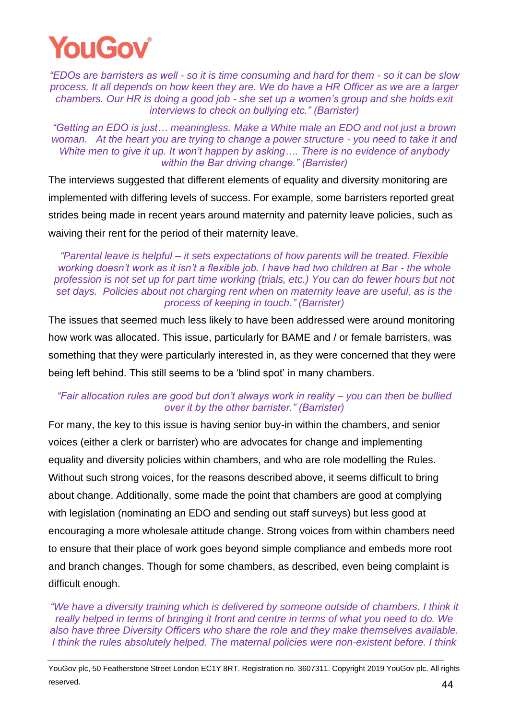

*"EDOs are barristers as well - so it is time consuming and hard for them - so it can be slow process. It all depends on how keen they are. We do have a HR Officer as we are a larger chambers. Our HR is doing a good job - she set up a women's group and she holds exit interviews to check on bullying etc." (Barrister)*

*"Getting an EDO is just… meaningless. Make a White male an EDO and not just a brown woman. At the heart you are trying to change a power structure - you need to take it and White men to give it up. It won't happen by asking…. There is no evidence of anybody within the Bar driving change." (Barrister)* 

The interviews suggested that different elements of equality and diversity monitoring are implemented with differing levels of success. For example, some barristers reported great strides being made in recent years around maternity and paternity leave policies, such as waiving their rent for the period of their maternity leave.

*"Parental leave is helpful – it sets expectations of how parents will be treated. Flexible working doesn't work as it isn't a flexible job. I have had two children at Bar - the whole profession is not set up for part time working (trials, etc.) You can do fewer hours but not set days. Policies about not charging rent when on maternity leave are useful, as is the process of keeping in touch." (Barrister)*

The issues that seemed much less likely to have been addressed were around monitoring how work was allocated. This issue, particularly for BAME and / or female barristers, was something that they were particularly interested in, as they were concerned that they were being left behind. This still seems to be a 'blind spot' in many chambers.

#### *"Fair allocation rules are good but don't always work in reality – you can then be bullied over it by the other barrister." (Barrister)*

For many, the key to this issue is having senior buy-in within the chambers, and senior voices (either a clerk or barrister) who are advocates for change and implementing equality and diversity policies within chambers, and who are role modelling the Rules. Without such strong voices, for the reasons described above, it seems difficult to bring about change. Additionally, some made the point that chambers are good at complying with legislation (nominating an EDO and sending out staff surveys) but less good at encouraging a more wholesale attitude change. Strong voices from within chambers need to ensure that their place of work goes beyond simple compliance and embeds more root and branch changes. Though for some chambers, as described, even being complaint is difficult enough.

*"We have a diversity training which is delivered by someone outside of chambers. I think it really helped in terms of bringing it front and centre in terms of what you need to do. We also have three Diversity Officers who share the role and they make themselves available. I think the rules absolutely helped. The maternal policies were non-existent before. I think* 

YouGov plc, 50 Featherstone Street London EC1Y 8RT. Registration no. 3607311. Copyright 2019 YouGov plc. All rights reserved.  $44$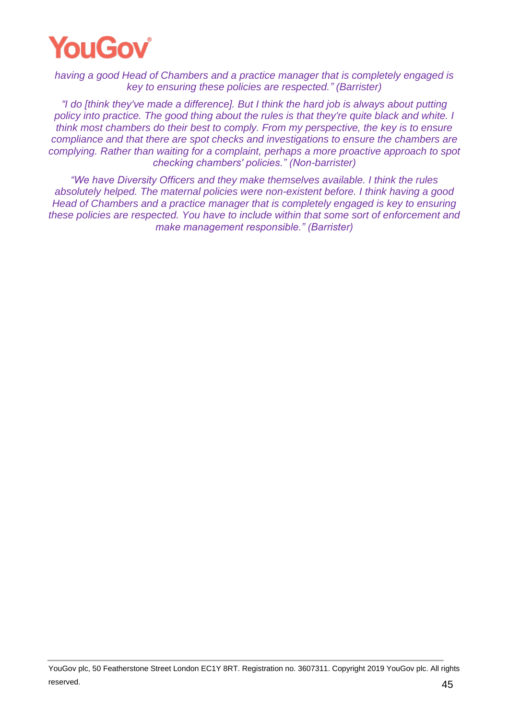

*having a good Head of Chambers and a practice manager that is completely engaged is key to ensuring these policies are respected." (Barrister)*

*"I do [think they've made a difference]. But I think the hard job is always about putting policy into practice. The good thing about the rules is that they're quite black and white. I think most chambers do their best to comply. From my perspective, the key is to ensure compliance and that there are spot checks and investigations to ensure the chambers are complying. Rather than waiting for a complaint, perhaps a more proactive approach to spot checking chambers' policies." (Non-barrister)*

*"We have Diversity Officers and they make themselves available. I think the rules absolutely helped. The maternal policies were non-existent before. I think having a good Head of Chambers and a practice manager that is completely engaged is key to ensuring these policies are respected. You have to include within that some sort of enforcement and make management responsible." (Barrister)*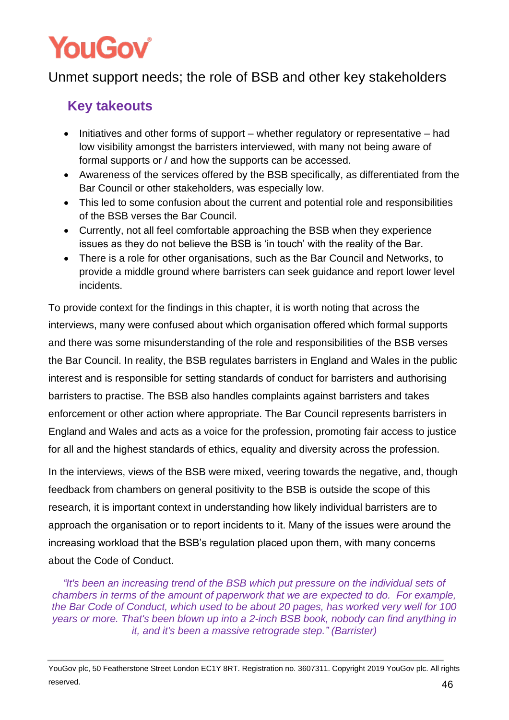### <span id="page-46-0"></span>Unmet support needs; the role of BSB and other key stakeholders

### **Key takeouts**

- Initiatives and other forms of support whether regulatory or representative had low visibility amongst the barristers interviewed, with many not being aware of formal supports or / and how the supports can be accessed.
- Awareness of the services offered by the BSB specifically, as differentiated from the Bar Council or other stakeholders, was especially low.
- This led to some confusion about the current and potential role and responsibilities of the BSB verses the Bar Council.
- Currently, not all feel comfortable approaching the BSB when they experience issues as they do not believe the BSB is 'in touch' with the reality of the Bar.
- There is a role for other organisations, such as the Bar Council and Networks, to provide a middle ground where barristers can seek guidance and report lower level incidents.

To provide context for the findings in this chapter, it is worth noting that across the interviews, many were confused about which organisation offered which formal supports and there was some misunderstanding of the role and responsibilities of the BSB verses the Bar Council. In reality, the BSB regulates barristers in England and Wales in the public interest and is responsible for setting standards of conduct for barristers and authorising barristers to practise. The BSB also handles complaints against barristers and takes enforcement or other action where appropriate. The Bar Council represents barristers in England and Wales and acts as a voice for the profession, promoting fair access to justice for all and the highest standards of ethics, equality and diversity across the profession.

In the interviews, views of the BSB were mixed, veering towards the negative, and, though feedback from chambers on general positivity to the BSB is outside the scope of this research, it is important context in understanding how likely individual barristers are to approach the organisation or to report incidents to it. Many of the issues were around the increasing workload that the BSB's regulation placed upon them, with many concerns about the Code of Conduct.

*"It's been an increasing trend of the BSB which put pressure on the individual sets of chambers in terms of the amount of paperwork that we are expected to do. For example, the Bar Code of Conduct, which used to be about 20 pages, has worked very well for 100 years or more. That's been blown up into a 2-inch BSB book, nobody can find anything in it, and it's been a massive retrograde step." (Barrister)*

YouGov plc, 50 Featherstone Street London EC1Y 8RT. Registration no. 3607311. Copyright 2019 YouGov plc. All rights reserved.  $46$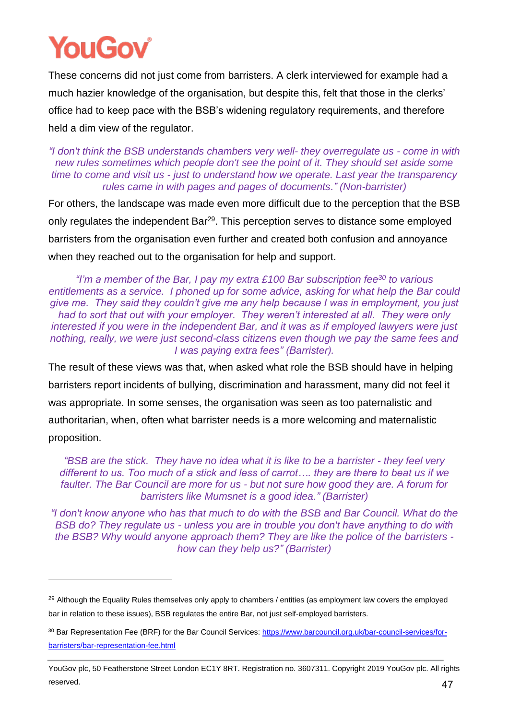These concerns did not just come from barristers. A clerk interviewed for example had a much hazier knowledge of the organisation, but despite this, felt that those in the clerks' office had to keep pace with the BSB's widening regulatory requirements, and therefore held a dim view of the regulator.

*"I don't think the BSB understands chambers very well- they overregulate us - come in with new rules sometimes which people don't see the point of it. They should set aside some time to come and visit us - just to understand how we operate. Last year the transparency rules came in with pages and pages of documents." (Non-barrister)*

For others, the landscape was made even more difficult due to the perception that the BSB only regulates the independent Bar<sup>29</sup>. This perception serves to distance some employed barristers from the organisation even further and created both confusion and annoyance when they reached out to the organisation for help and support.

*"I'm a member of the Bar, I pay my extra £100 Bar subscription fee<sup>30</sup> to various entitlements as a service. I phoned up for some advice, asking for what help the Bar could give me. They said they couldn't give me any help because I was in employment, you just had to sort that out with your employer. They weren't interested at all. They were only interested if you were in the independent Bar, and it was as if employed lawyers were just nothing, really, we were just second-class citizens even though we pay the same fees and I was paying extra fees" (Barrister).*

The result of these views was that, when asked what role the BSB should have in helping barristers report incidents of bullying, discrimination and harassment, many did not feel it was appropriate. In some senses, the organisation was seen as too paternalistic and authoritarian, when, often what barrister needs is a more welcoming and maternalistic proposition.

*"BSB are the stick. They have no idea what it is like to be a barrister - they feel very different to us. Too much of a stick and less of carrot…. they are there to beat us if we faulter. The Bar Council are more for us - but not sure how good they are. A forum for barristers like Mumsnet is a good idea." (Barrister)*

*"I don't know anyone who has that much to do with the BSB and Bar Council. What do the BSB do? They regulate us - unless you are in trouble you don't have anything to do with the BSB? Why would anyone approach them? They are like the police of the barristers how can they help us?" (Barrister)*

<sup>&</sup>lt;sup>29</sup> Although the Equality Rules themselves only apply to chambers / entities (as employment law covers the employed bar in relation to these issues), BSB regulates the entire Bar, not just self-employed barristers.

<sup>&</sup>lt;sup>30</sup> Bar Representation Fee (BRF) for the Bar Council Services: [https://www.barcouncil.org.uk/bar-council-services/for](https://www.barcouncil.org.uk/bar-council-services/for-barristers/bar-representation-fee.html)[barristers/bar-representation-fee.html](https://www.barcouncil.org.uk/bar-council-services/for-barristers/bar-representation-fee.html)

YouGov plc, 50 Featherstone Street London EC1Y 8RT. Registration no. 3607311. Copyright 2019 YouGov plc. All rights reserved.  $47$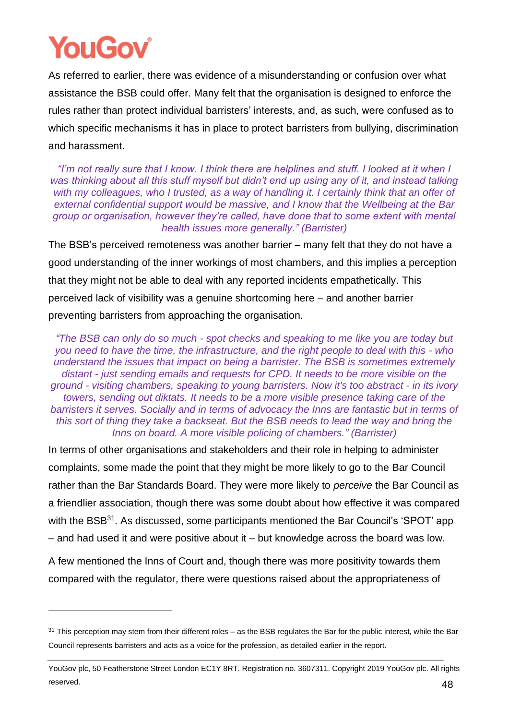As referred to earlier, there was evidence of a misunderstanding or confusion over what assistance the BSB could offer. Many felt that the organisation is designed to enforce the rules rather than protect individual barristers' interests, and, as such, were confused as to which specific mechanisms it has in place to protect barristers from bullying, discrimination and harassment.

*"I'm not really sure that I know. I think there are helplines and stuff. I looked at it when I was thinking about all this stuff myself but didn't end up using any of it, and instead talking with my colleagues, who I trusted, as a way of handling it. I certainly think that an offer of external confidential support would be massive, and I know that the Wellbeing at the Bar group or organisation, however they're called, have done that to some extent with mental health issues more generally." (Barrister)*

The BSB's perceived remoteness was another barrier – many felt that they do not have a good understanding of the inner workings of most chambers, and this implies a perception that they might not be able to deal with any reported incidents empathetically. This perceived lack of visibility was a genuine shortcoming here – and another barrier preventing barristers from approaching the organisation.

*"The BSB can only do so much - spot checks and speaking to me like you are today but you need to have the time, the infrastructure, and the right people to deal with this - who understand the issues that impact on being a barrister. The BSB is sometimes extremely distant - just sending emails and requests for CPD. It needs to be more visible on the ground - visiting chambers, speaking to young barristers. Now it's too abstract - in its ivory towers, sending out diktats. It needs to be a more visible presence taking care of the barristers it serves. Socially and in terms of advocacy the Inns are fantastic but in terms of this sort of thing they take a backseat. But the BSB needs to lead the way and bring the Inns on board. A more visible policing of chambers." (Barrister)*

In terms of other organisations and stakeholders and their role in helping to administer complaints, some made the point that they might be more likely to go to the Bar Council rather than the Bar Standards Board. They were more likely to *perceive* the Bar Council as a friendlier association, though there was some doubt about how effective it was compared with the BSB<sup>31</sup>. As discussed, some participants mentioned the Bar Council's 'SPOT' app – and had used it and were positive about it – but knowledge across the board was low.

A few mentioned the Inns of Court and, though there was more positivity towards them compared with the regulator, there were questions raised about the appropriateness of

 $31$  This perception may stem from their different roles – as the BSB regulates the Bar for the public interest, while the Bar Council represents barristers and acts as a voice for the profession, as detailed earlier in the report.

YouGov plc, 50 Featherstone Street London EC1Y 8RT. Registration no. 3607311. Copyright 2019 YouGov plc. All rights reserved.  $48$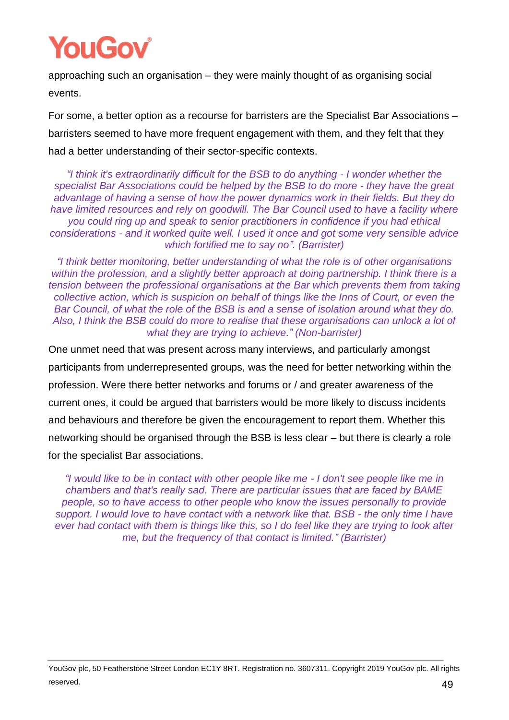

approaching such an organisation – they were mainly thought of as organising social events.

For some, a better option as a recourse for barristers are the Specialist Bar Associations – barristers seemed to have more frequent engagement with them, and they felt that they had a better understanding of their sector-specific contexts.

*"I think it's extraordinarily difficult for the BSB to do anything - I wonder whether the specialist Bar Associations could be helped by the BSB to do more - they have the great advantage of having a sense of how the power dynamics work in their fields. But they do have limited resources and rely on goodwill. The Bar Council used to have a facility where you could ring up and speak to senior practitioners in confidence if you had ethical considerations - and it worked quite well. I used it once and got some very sensible advice which fortified me to say no". (Barrister)*

*"I think better monitoring, better understanding of what the role is of other organisations within the profession, and a slightly better approach at doing partnership. I think there is a tension between the professional organisations at the Bar which prevents them from taking collective action, which is suspicion on behalf of things like the Inns of Court, or even the Bar Council, of what the role of the BSB is and a sense of isolation around what they do. Also, I think the BSB could do more to realise that these organisations can unlock a lot of what they are trying to achieve." (Non-barrister)*

One unmet need that was present across many interviews, and particularly amongst participants from underrepresented groups, was the need for better networking within the profession. Were there better networks and forums or / and greater awareness of the current ones, it could be argued that barristers would be more likely to discuss incidents and behaviours and therefore be given the encouragement to report them. Whether this networking should be organised through the BSB is less clear – but there is clearly a role for the specialist Bar associations.

*"I would like to be in contact with other people like me - I don't see people like me in chambers and that's really sad. There are particular issues that are faced by BAME people, so to have access to other people who know the issues personally to provide support. I would love to have contact with a network like that. BSB - the only time I have ever had contact with them is things like this, so I do feel like they are trying to look after me, but the frequency of that contact is limited." (Barrister)*

YouGov plc, 50 Featherstone Street London EC1Y 8RT. Registration no. 3607311. Copyright 2019 YouGov plc. All rights reserved.  $49$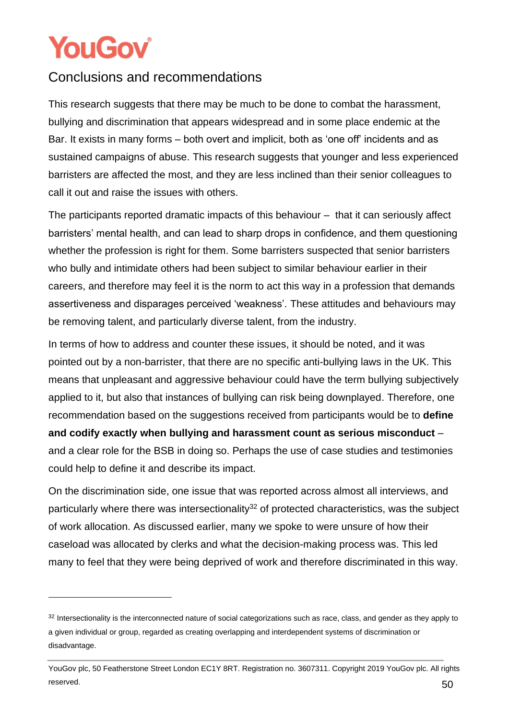### <span id="page-50-0"></span>Conclusions and recommendations

This research suggests that there may be much to be done to combat the harassment, bullying and discrimination that appears widespread and in some place endemic at the Bar. It exists in many forms – both overt and implicit, both as 'one off' incidents and as sustained campaigns of abuse. This research suggests that younger and less experienced barristers are affected the most, and they are less inclined than their senior colleagues to call it out and raise the issues with others.

The participants reported dramatic impacts of this behaviour – that it can seriously affect barristers' mental health, and can lead to sharp drops in confidence, and them questioning whether the profession is right for them. Some barristers suspected that senior barristers who bully and intimidate others had been subject to similar behaviour earlier in their careers, and therefore may feel it is the norm to act this way in a profession that demands assertiveness and disparages perceived 'weakness'. These attitudes and behaviours may be removing talent, and particularly diverse talent, from the industry.

In terms of how to address and counter these issues, it should be noted, and it was pointed out by a non-barrister, that there are no specific anti-bullying laws in the UK. This means that unpleasant and aggressive behaviour could have the term bullying subjectively applied to it, but also that instances of bullying can risk being downplayed. Therefore, one recommendation based on the suggestions received from participants would be to **define and codify exactly when bullying and harassment count as serious misconduct** – and a clear role for the BSB in doing so. Perhaps the use of case studies and testimonies could help to define it and describe its impact.

On the discrimination side, one issue that was reported across almost all interviews, and particularly where there was intersectionality<sup>32</sup> of protected characteristics, was the subject of work allocation. As discussed earlier, many we spoke to were unsure of how their caseload was allocated by clerks and what the decision-making process was. This led many to feel that they were being deprived of work and therefore discriminated in this way.

<sup>32</sup> Intersectionality is the interconnected nature of social categorizations such as race, class, and gender as they apply to a given individual or group, regarded as creating overlapping and interdependent systems of discrimination or disadvantage.

YouGov plc, 50 Featherstone Street London EC1Y 8RT. Registration no. 3607311. Copyright 2019 YouGov plc. All rights reserved.  $50$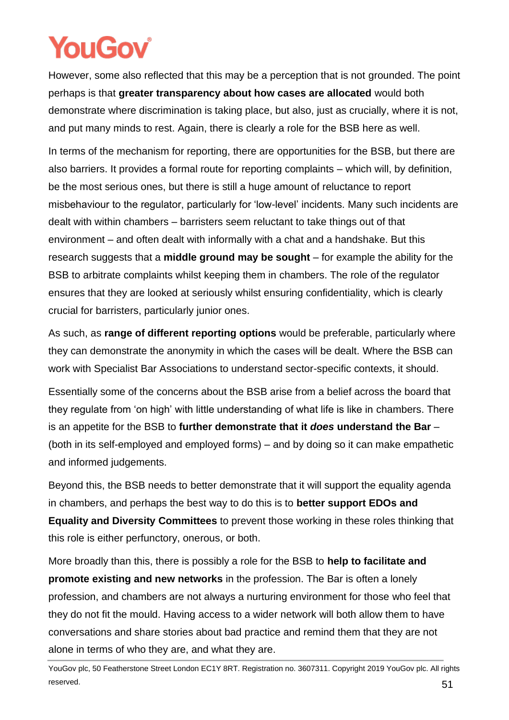However, some also reflected that this may be a perception that is not grounded. The point perhaps is that **greater transparency about how cases are allocated** would both demonstrate where discrimination is taking place, but also, just as crucially, where it is not, and put many minds to rest. Again, there is clearly a role for the BSB here as well.

In terms of the mechanism for reporting, there are opportunities for the BSB, but there are also barriers. It provides a formal route for reporting complaints – which will, by definition, be the most serious ones, but there is still a huge amount of reluctance to report misbehaviour to the regulator, particularly for 'low-level' incidents. Many such incidents are dealt with within chambers – barristers seem reluctant to take things out of that environment – and often dealt with informally with a chat and a handshake. But this research suggests that a **middle ground may be sought** – for example the ability for the BSB to arbitrate complaints whilst keeping them in chambers. The role of the regulator ensures that they are looked at seriously whilst ensuring confidentiality, which is clearly crucial for barristers, particularly junior ones.

As such, as **range of different reporting options** would be preferable, particularly where they can demonstrate the anonymity in which the cases will be dealt. Where the BSB can work with Specialist Bar Associations to understand sector-specific contexts, it should.

Essentially some of the concerns about the BSB arise from a belief across the board that they regulate from 'on high' with little understanding of what life is like in chambers. There is an appetite for the BSB to **further demonstrate that it** *does* **understand the Bar** – (both in its self-employed and employed forms) – and by doing so it can make empathetic and informed judgements.

Beyond this, the BSB needs to better demonstrate that it will support the equality agenda in chambers, and perhaps the best way to do this is to **better support EDOs and Equality and Diversity Committees** to prevent those working in these roles thinking that this role is either perfunctory, onerous, or both.

More broadly than this, there is possibly a role for the BSB to **help to facilitate and promote existing and new networks** in the profession. The Bar is often a lonely profession, and chambers are not always a nurturing environment for those who feel that they do not fit the mould. Having access to a wider network will both allow them to have conversations and share stories about bad practice and remind them that they are not alone in terms of who they are, and what they are.

YouGov plc, 50 Featherstone Street London EC1Y 8RT. Registration no. 3607311. Copyright 2019 YouGov plc. All rights reserved.  $51$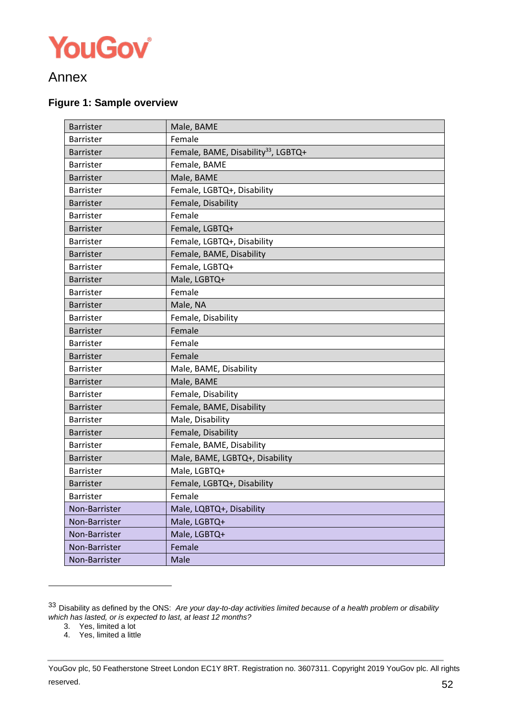

### Annex

#### **Figure 1: Sample overview**

| Barrister        | Male, BAME                                      |
|------------------|-------------------------------------------------|
| Barrister        | Female                                          |
| Barrister        | Female, BAME, Disability <sup>33</sup> , LGBTQ+ |
| <b>Barrister</b> | Female, BAME                                    |
| Barrister        | Male, BAME                                      |
| <b>Barrister</b> | Female, LGBTQ+, Disability                      |
| <b>Barrister</b> | Female, Disability                              |
| Barrister        | Female                                          |
| Barrister        | Female, LGBTQ+                                  |
| <b>Barrister</b> | Female, LGBTQ+, Disability                      |
| Barrister        | Female, BAME, Disability                        |
| <b>Barrister</b> | Female, LGBTQ+                                  |
| <b>Barrister</b> | Male, LGBTQ+                                    |
| <b>Barrister</b> | Female                                          |
| Barrister        | Male, NA                                        |
| Barrister        | Female, Disability                              |
| Barrister        | Female                                          |
| Barrister        | Female                                          |
| <b>Barrister</b> | Female                                          |
| Barrister        | Male, BAME, Disability                          |
| Barrister        | Male, BAME                                      |
| Barrister        | Female, Disability                              |
| Barrister        | Female, BAME, Disability                        |
| Barrister        | Male, Disability                                |
| <b>Barrister</b> | Female, Disability                              |
| Barrister        | Female, BAME, Disability                        |
| <b>Barrister</b> | Male, BAME, LGBTQ+, Disability                  |
| <b>Barrister</b> | Male, LGBTQ+                                    |
| <b>Barrister</b> | Female, LGBTQ+, Disability                      |
| <b>Barrister</b> | Female                                          |
| Non-Barrister    | Male, LQBTQ+, Disability                        |
| Non-Barrister    | Male, LGBTQ+                                    |
| Non-Barrister    | Male, LGBTQ+                                    |
| Non-Barrister    | Female                                          |
| Non-Barrister    | Male                                            |

<sup>33</sup> Disability as defined by the ONS: *Are your day-to-day activities limited because of a health problem or disability which has lasted, or is expected to last, at least 12 months?*

- 3. Yes, limited a lot
- 4. Yes, limited a little

YouGov plc, 50 Featherstone Street London EC1Y 8RT. Registration no. 3607311. Copyright 2019 YouGov plc. All rights reserved.  $52$